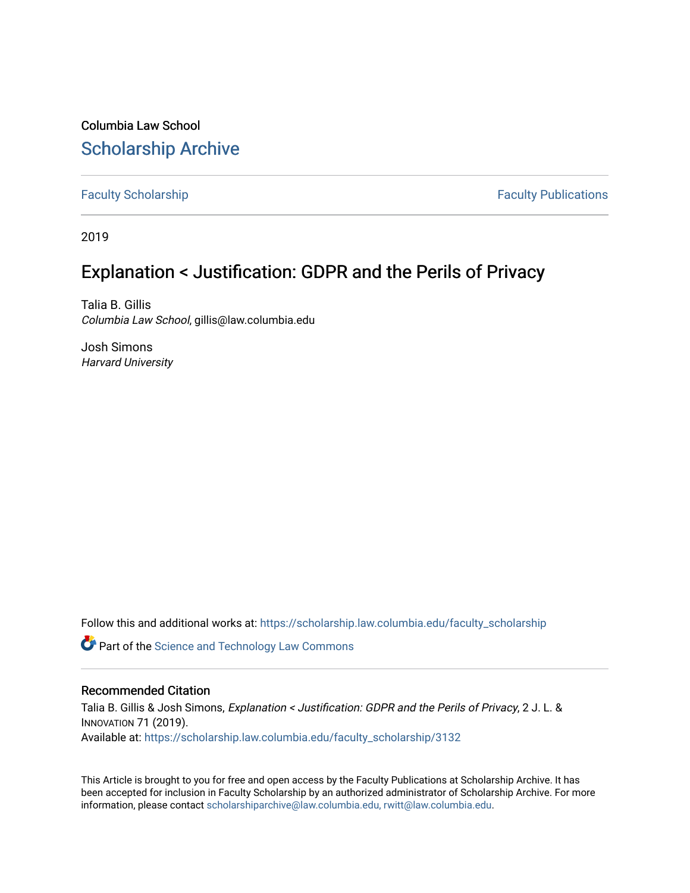Columbia Law School [Scholarship Archive](https://scholarship.law.columbia.edu/) 

[Faculty Scholarship](https://scholarship.law.columbia.edu/faculty_scholarship) **Faculty Scholarship Faculty Publications** 

2019

# Explanation < Justification: GDPR and the Perils of Privacy

Talia B. Gillis Columbia Law School, gillis@law.columbia.edu

Josh Simons Harvard University

Follow this and additional works at: [https://scholarship.law.columbia.edu/faculty\\_scholarship](https://scholarship.law.columbia.edu/faculty_scholarship?utm_source=scholarship.law.columbia.edu%2Ffaculty_scholarship%2F3132&utm_medium=PDF&utm_campaign=PDFCoverPages)

**C** Part of the [Science and Technology Law Commons](http://network.bepress.com/hgg/discipline/875?utm_source=scholarship.law.columbia.edu%2Ffaculty_scholarship%2F3132&utm_medium=PDF&utm_campaign=PDFCoverPages)

# Recommended Citation

Talia B. Gillis & Josh Simons, Explanation < Justification: GDPR and the Perils of Privacy, 2 J. L. & INNOVATION 71 (2019). Available at: [https://scholarship.law.columbia.edu/faculty\\_scholarship/3132](https://scholarship.law.columbia.edu/faculty_scholarship/3132?utm_source=scholarship.law.columbia.edu%2Ffaculty_scholarship%2F3132&utm_medium=PDF&utm_campaign=PDFCoverPages)

This Article is brought to you for free and open access by the Faculty Publications at Scholarship Archive. It has been accepted for inclusion in Faculty Scholarship by an authorized administrator of Scholarship Archive. For more information, please contact [scholarshiparchive@law.columbia.edu, rwitt@law.columbia.edu](mailto:scholarshiparchive@law.columbia.edu,%20rwitt@law.columbia.edu).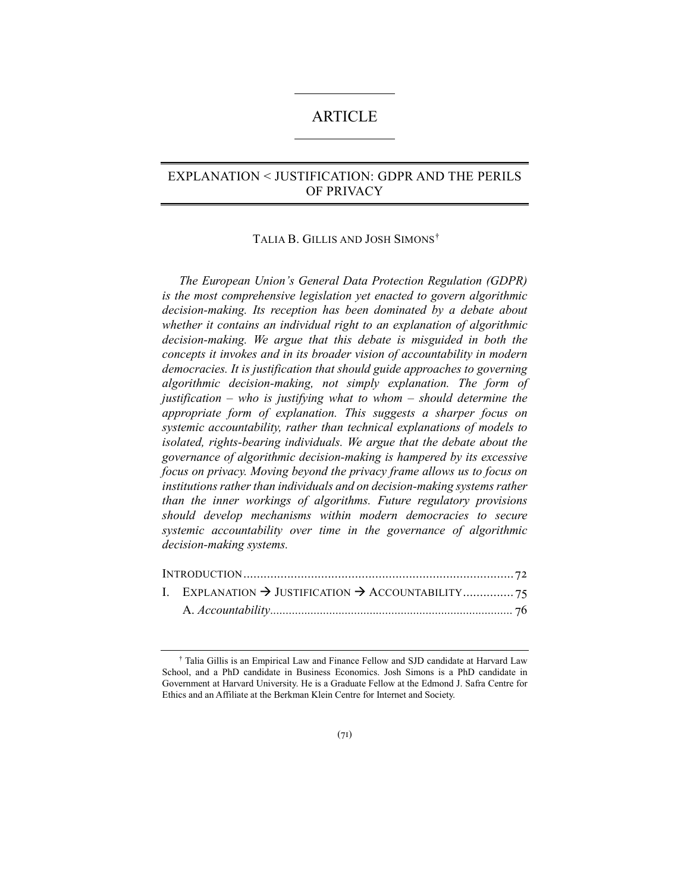# ARTICLE

# EXPLANATION < JUSTIFICATION: GDPR AND THE PERILS OF PRIVACY

#### TALIA B. GILLIS AND JOSH SIMONS[†](#page-1-0)

*The European Union's General Data Protection Regulation (GDPR) is the most comprehensive legislation yet enacted to govern algorithmic decision-making. Its reception has been dominated by a debate about whether it contains an individual right to an explanation of algorithmic decision-making. We argue that this debate is misguided in both the concepts it invokes and in its broader vision of accountability in modern democracies. It is justification that should guide approaches to governing algorithmic decision-making, not simply explanation. The form of justification – who is justifying what to whom – should determine the appropriate form of explanation. This suggests a sharper focus on systemic accountability, rather than technical explanations of models to isolated, rights-bearing individuals. We argue that the debate about the governance of algorithmic decision-making is hampered by its excessive focus on privacy. Moving beyond the privacy frame allows us to focus on institutions rather than individuals and on decision-making systems rather than the inner workings of algorithms. Future regulatory provisions should develop mechanisms within modern democracies to secure systemic accountability over time in the governance of algorithmic decision-making systems.*

<span id="page-1-0"></span><sup>†</sup> Talia Gillis is an Empirical Law and Finance Fellow and SJD candidate at Harvard Law School, and a PhD candidate in Business Economics. Josh Simons is a PhD candidate in Government at Harvard University. He is a Graduate Fellow at the Edmond J. Safra Centre for Ethics and an Affiliate at the Berkman Klein Centre for Internet and Society.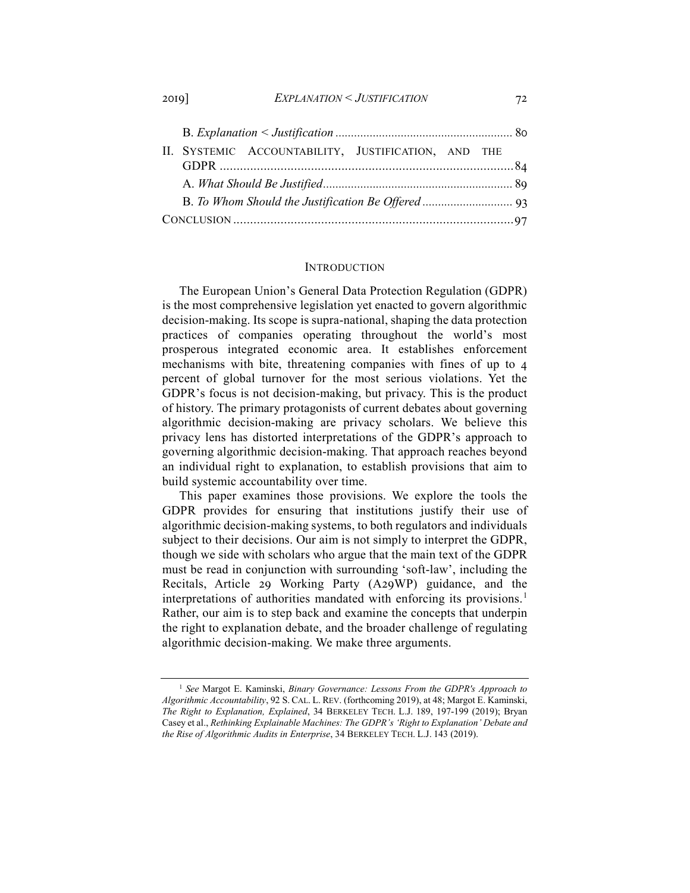|  | II. SYSTEMIC ACCOUNTABILITY, JUSTIFICATION, AND THE |  |  |
|--|-----------------------------------------------------|--|--|
|  |                                                     |  |  |
|  |                                                     |  |  |
|  |                                                     |  |  |
|  |                                                     |  |  |

#### **INTRODUCTION**

The European Union's General Data Protection Regulation (GDPR) is the most comprehensive legislation yet enacted to govern algorithmic decision-making. Its scope is supra-national, shaping the data protection practices of companies operating throughout the world's most prosperous integrated economic area. It establishes enforcement mechanisms with bite, threatening companies with fines of up to 4 percent of global turnover for the most serious violations. Yet the GDPR's focus is not decision-making, but privacy. This is the product of history. The primary protagonists of current debates about governing algorithmic decision-making are privacy scholars. We believe this privacy lens has distorted interpretations of the GDPR's approach to governing algorithmic decision-making. That approach reaches beyond an individual right to explanation, to establish provisions that aim to build systemic accountability over time.

This paper examines those provisions. We explore the tools the GDPR provides for ensuring that institutions justify their use of algorithmic decision-making systems, to both regulators and individuals subject to their decisions. Our aim is not simply to interpret the GDPR, though we side with scholars who argue that the main text of the GDPR must be read in conjunction with surrounding 'soft-law', including the Recitals, Article 29 Working Party (A29WP) guidance, and the interpretations of authorities mandated with enforcing its provisions.<sup>[1](#page-2-0)</sup> Rather, our aim is to step back and examine the concepts that underpin the right to explanation debate, and the broader challenge of regulating algorithmic decision-making. We make three arguments.

<span id="page-2-0"></span><sup>1</sup> *See* Margot E. Kaminski, *Binary Governance: Lessons From the GDPR's Approach to Algorithmic Accountability*, 92 S. CAL. L. REV. (forthcoming 2019), at 48; Margot E. Kaminski, *The Right to Explanation, Explained*, 34 BERKELEY TECH. L.J. 189, 197-199 (2019); Bryan Casey et al., *Rethinking Explainable Machines: The GDPR's 'Right to Explanation' Debate and the Rise of Algorithmic Audits in Enterprise*, 34 BERKELEY TECH. L.J. 143 (2019).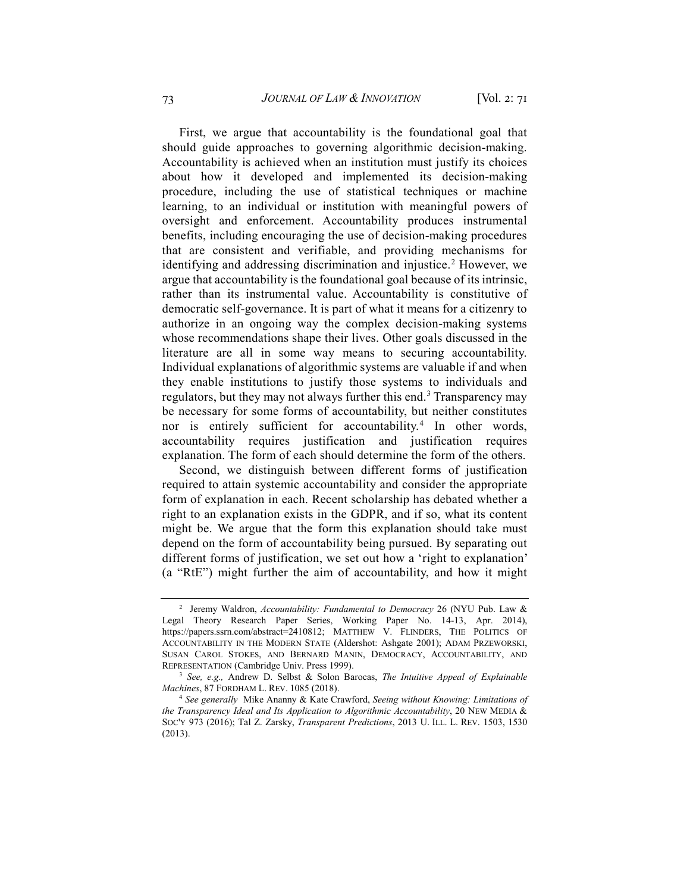First, we argue that accountability is the foundational goal that should guide approaches to governing algorithmic decision-making. Accountability is achieved when an institution must justify its choices about how it developed and implemented its decision-making procedure, including the use of statistical techniques or machine learning, to an individual or institution with meaningful powers of oversight and enforcement. Accountability produces instrumental benefits, including encouraging the use of decision-making procedures that are consistent and verifiable, and providing mechanisms for identifying and addressing discrimination and injustice.<sup>[2](#page-3-0)</sup> However, we argue that accountability is the foundational goal because of its intrinsic, rather than its instrumental value. Accountability is constitutive of democratic self-governance. It is part of what it means for a citizenry to authorize in an ongoing way the complex decision-making systems whose recommendations shape their lives. Other goals discussed in the literature are all in some way means to securing accountability. Individual explanations of algorithmic systems are valuable if and when they enable institutions to justify those systems to individuals and regulators, but they may not always further this end.<sup>[3](#page-3-1)</sup> Transparency may be necessary for some forms of accountability, but neither constitutes nor is entirely sufficient for accountability.[4](#page-3-2) In other words, accountability requires justification and justification requires explanation. The form of each should determine the form of the others.

Second, we distinguish between different forms of justification required to attain systemic accountability and consider the appropriate form of explanation in each. Recent scholarship has debated whether a right to an explanation exists in the GDPR, and if so, what its content might be. We argue that the form this explanation should take must depend on the form of accountability being pursued. By separating out different forms of justification, we set out how a 'right to explanation' (a "RtE") might further the aim of accountability, and how it might

<span id="page-3-0"></span><sup>2</sup> Jeremy Waldron, *Accountability: Fundamental to Democracy* 26 (NYU Pub. Law & Legal Theory Research Paper Series, Working Paper No. 14-13, Apr. 2014), https://papers.ssrn.com/abstract=2410812; MATTHEW V. FLINDERS, THE POLITICS OF ACCOUNTABILITY IN THE MODERN STATE (Aldershot: Ashgate 2001); ADAM PRZEWORSKI, SUSAN CAROL STOKES, AND BERNARD MANIN, DEMOCRACY, ACCOUNTABILITY, AND REPRESENTATION (Cambridge Univ. Press 1999).

<span id="page-3-1"></span><sup>3</sup> *See, e.g.,* Andrew D. Selbst & Solon Barocas, *The Intuitive Appeal of Explainable Machines*, 87 FORDHAM L. REV. 1085 (2018).

<span id="page-3-2"></span><sup>4</sup> *See generally* Mike Ananny & Kate Crawford, *Seeing without Knowing: Limitations of the Transparency Ideal and Its Application to Algorithmic Accountability*, 20 NEW MEDIA & SOC'Y 973 (2016); Tal Z. Zarsky, *Transparent Predictions*, 2013 U. ILL. L. REV. 1503, 1530 (2013).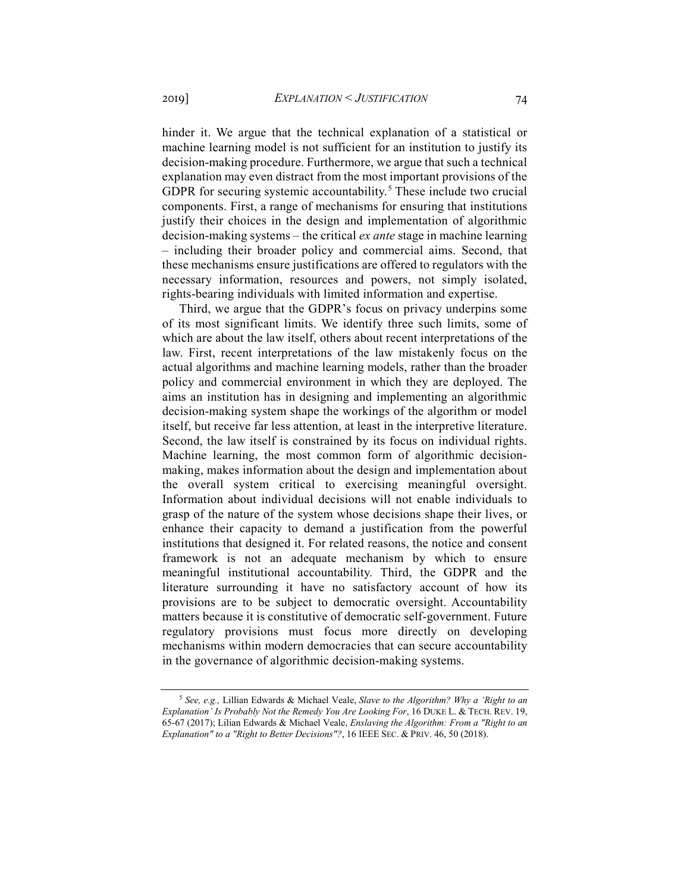hinder it. We argue that the technical explanation of a statistical or machine learning model is not sufficient for an institution to justify its decision-making procedure. Furthermore, we argue that such a technical explanation may even distract from the most important provisions of the GDPR for securing systemic accountability.<sup>[5](#page-4-0)</sup> These include two crucial components. First, a range of mechanisms for ensuring that institutions justify their choices in the design and implementation of algorithmic decision-making systems – the critical *ex ante* stage in machine learning – including their broader policy and commercial aims. Second, that these mechanisms ensure justifications are offered to regulators with the necessary information, resources and powers, not simply isolated, rights-bearing individuals with limited information and expertise.

Third, we argue that the GDPR's focus on privacy underpins some of its most significant limits. We identify three such limits, some of which are about the law itself, others about recent interpretations of the law. First, recent interpretations of the law mistakenly focus on the actual algorithms and machine learning models, rather than the broader policy and commercial environment in which they are deployed. The aims an institution has in designing and implementing an algorithmic decision-making system shape the workings of the algorithm or model itself, but receive far less attention, at least in the interpretive literature. Second, the law itself is constrained by its focus on individual rights. Machine learning, the most common form of algorithmic decisionmaking, makes information about the design and implementation about the overall system critical to exercising meaningful oversight. Information about individual decisions will not enable individuals to grasp of the nature of the system whose decisions shape their lives, or enhance their capacity to demand a justification from the powerful institutions that designed it. For related reasons, the notice and consent framework is not an adequate mechanism by which to ensure meaningful institutional accountability. Third, the GDPR and the literature surrounding it have no satisfactory account of how its provisions are to be subject to democratic oversight. Accountability matters because it is constitutive of democratic self-government. Future regulatory provisions must focus more directly on developing mechanisms within modern democracies that can secure accountability in the governance of algorithmic decision-making systems.

<span id="page-4-0"></span><sup>5</sup> *See, e.g.,* Lillian Edwards & Michael Veale, *Slave to the Algorithm? Why a 'Right to an Explanation' Is Probably Not the Remedy You Are Looking For*, 16 DUKE L. & TECH. REV. 19, 65-67 (2017); Lilian Edwards & Michael Veale, *Enslaving the Algorithm: From a "Right to an Explanation" to a "Right to Better Decisions"?*, 16 IEEE SEC. & PRIV. 46, 50 (2018).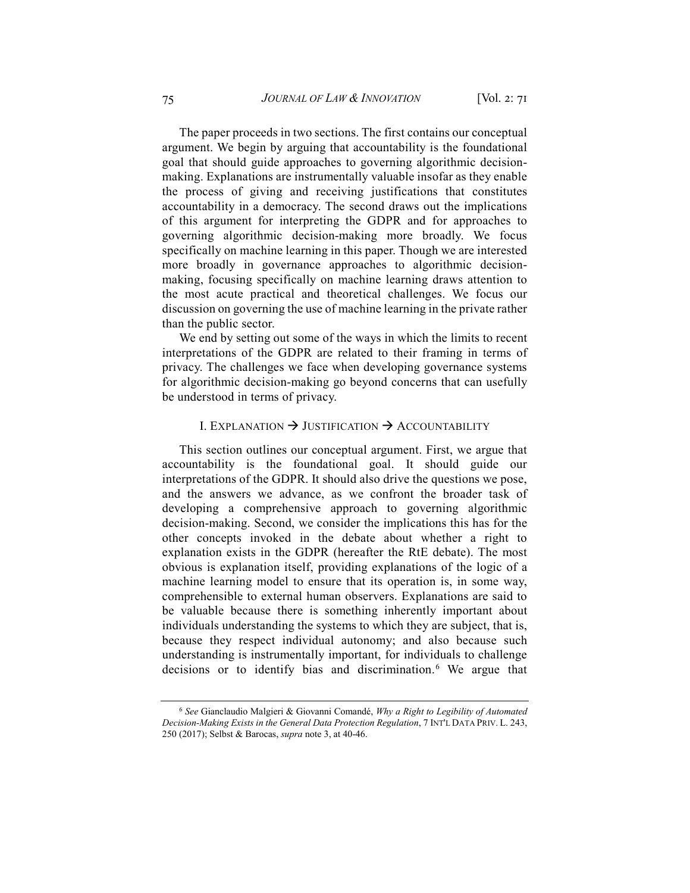The paper proceeds in two sections. The first contains our conceptual argument. We begin by arguing that accountability is the foundational goal that should guide approaches to governing algorithmic decisionmaking. Explanations are instrumentally valuable insofar as they enable the process of giving and receiving justifications that constitutes accountability in a democracy. The second draws out the implications of this argument for interpreting the GDPR and for approaches to governing algorithmic decision-making more broadly. We focus specifically on machine learning in this paper. Though we are interested more broadly in governance approaches to algorithmic decisionmaking, focusing specifically on machine learning draws attention to the most acute practical and theoretical challenges. We focus our discussion on governing the use of machine learning in the private rather than the public sector.

We end by setting out some of the ways in which the limits to recent interpretations of the GDPR are related to their framing in terms of privacy. The challenges we face when developing governance systems for algorithmic decision-making go beyond concerns that can usefully be understood in terms of privacy.

#### I. EXPLANATION  $\rightarrow$  JUSTIFICATION  $\rightarrow$  ACCOUNTABILITY

This section outlines our conceptual argument. First, we argue that accountability is the foundational goal. It should guide our interpretations of the GDPR. It should also drive the questions we pose, and the answers we advance, as we confront the broader task of developing a comprehensive approach to governing algorithmic decision-making. Second, we consider the implications this has for the other concepts invoked in the debate about whether a right to explanation exists in the GDPR (hereafter the RtE debate). The most obvious is explanation itself, providing explanations of the logic of a machine learning model to ensure that its operation is, in some way, comprehensible to external human observers. Explanations are said to be valuable because there is something inherently important about individuals understanding the systems to which they are subject, that is, because they respect individual autonomy; and also because such understanding is instrumentally important, for individuals to challenge decisions or to identify bias and discrimination.[6](#page-5-0) We argue that

<span id="page-5-0"></span><sup>6</sup> *See* Gianclaudio Malgieri & Giovanni Comandé, *Why a Right to Legibility of Automated Decision-Making Exists in the General Data Protection Regulation*, 7 INT'L DATA PRIV. L. 243, 250 (2017); Selbst & Barocas, *supra* note 3, at 40-46.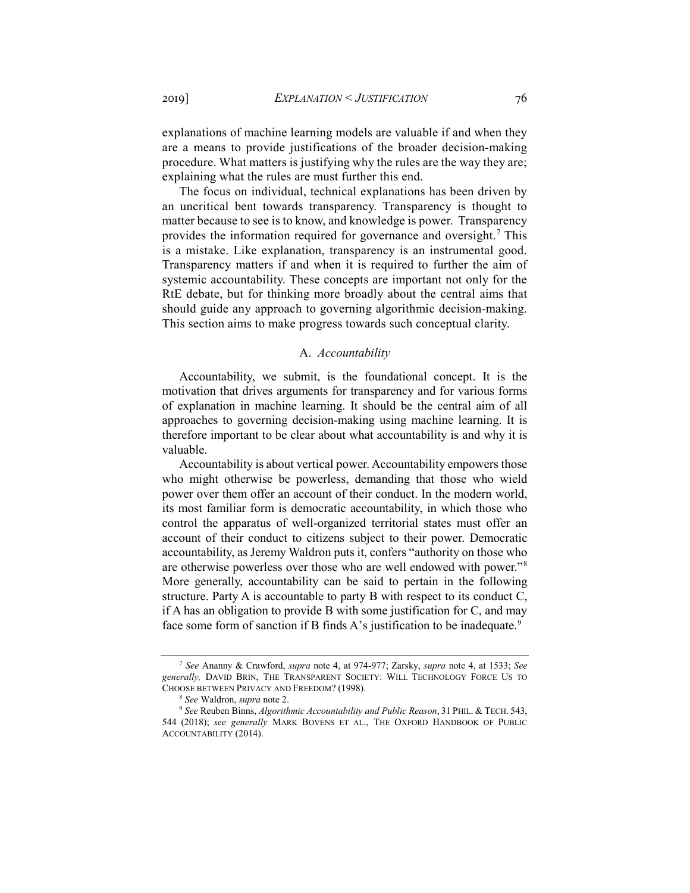explanations of machine learning models are valuable if and when they are a means to provide justifications of the broader decision-making procedure. What matters is justifying why the rules are the way they are; explaining what the rules are must further this end.

The focus on individual, technical explanations has been driven by an uncritical bent towards transparency. Transparency is thought to matter because to see is to know, and knowledge is power. Transparency provides the information required for governance and oversight.<sup>[7](#page-6-0)</sup> This is a mistake. Like explanation, transparency is an instrumental good. Transparency matters if and when it is required to further the aim of systemic accountability. These concepts are important not only for the RtE debate, but for thinking more broadly about the central aims that should guide any approach to governing algorithmic decision-making. This section aims to make progress towards such conceptual clarity.

#### A. *Accountability*

Accountability, we submit, is the foundational concept. It is the motivation that drives arguments for transparency and for various forms of explanation in machine learning. It should be the central aim of all approaches to governing decision-making using machine learning. It is therefore important to be clear about what accountability is and why it is valuable.

Accountability is about vertical power. Accountability empowers those who might otherwise be powerless, demanding that those who wield power over them offer an account of their conduct. In the modern world, its most familiar form is democratic accountability, in which those who control the apparatus of well-organized territorial states must offer an account of their conduct to citizens subject to their power. Democratic accountability, as Jeremy Waldron puts it, confers "authority on those who are otherwise powerless over those who are well endowed with power."[8](#page-6-1) More generally, accountability can be said to pertain in the following structure. Party A is accountable to party B with respect to its conduct C, if A has an obligation to provide B with some justification for C, and may face some form of sanction if B finds A's justification to be inadequate.<sup>9</sup>

<span id="page-6-0"></span><sup>7</sup> *See* Ananny & Crawford, *supra* note 4, at 974-977; Zarsky, *supra* note 4, at 1533; *See generally,* DAVID BRIN, THE TRANSPARENT SOCIETY: WILL TECHNOLOGY FORCE US TO CHOOSE BETWEEN PRIVACY AND FREEDOM? (1998).

<sup>8</sup> *See* Waldron, *supra* note 2.

<span id="page-6-2"></span><span id="page-6-1"></span><sup>9</sup> *See* Reuben Binns, *Algorithmic Accountability and Public Reason*, 31 PHIL. & TECH. 543, 544 (2018); *see generally* MARK BOVENS ET AL., THE OXFORD HANDBOOK OF PUBLIC ACCOUNTABILITY (2014).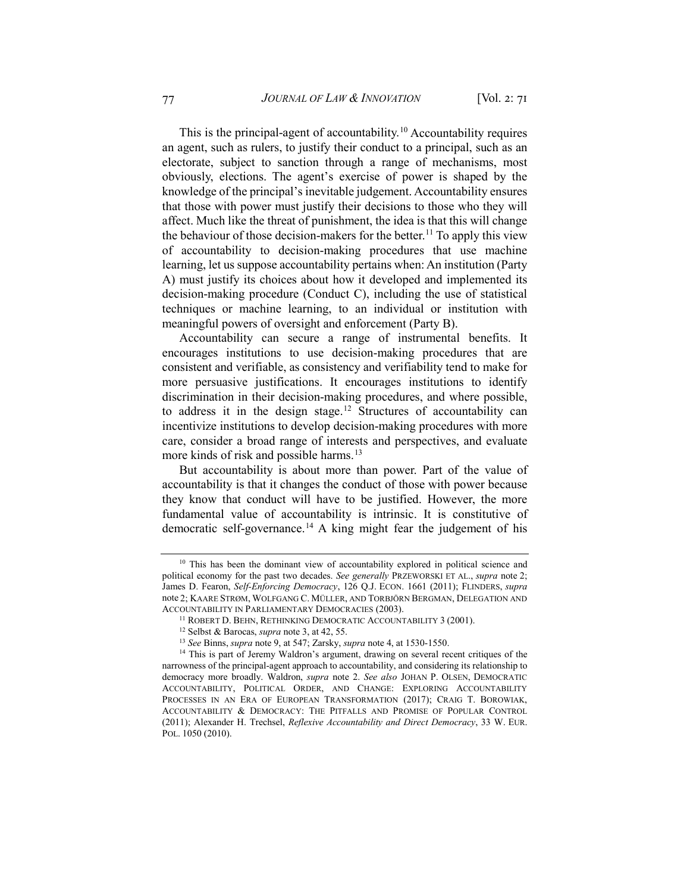This is the principal-agent of accountability.<sup>[10](#page-7-0)</sup> Accountability requires an agent, such as rulers, to justify their conduct to a principal, such as an electorate, subject to sanction through a range of mechanisms, most obviously, elections. The agent's exercise of power is shaped by the knowledge of the principal's inevitable judgement. Accountability ensures that those with power must justify their decisions to those who they will affect. Much like the threat of punishment, the idea is that this will change the behaviour of those decision-makers for the better.<sup>[11](#page-7-1)</sup> To apply this view of accountability to decision-making procedures that use machine learning, let us suppose accountability pertains when: An institution (Party A) must justify its choices about how it developed and implemented its decision-making procedure (Conduct C), including the use of statistical techniques or machine learning, to an individual or institution with meaningful powers of oversight and enforcement (Party B).

Accountability can secure a range of instrumental benefits. It encourages institutions to use decision-making procedures that are consistent and verifiable, as consistency and verifiability tend to make for more persuasive justifications. It encourages institutions to identify discrimination in their decision-making procedures, and where possible, to address it in the design stage.[12](#page-7-2) Structures of accountability can incentivize institutions to develop decision-making procedures with more care, consider a broad range of interests and perspectives, and evaluate more kinds of risk and possible harms.<sup>[13](#page-7-3)</sup>

But accountability is about more than power. Part of the value of accountability is that it changes the conduct of those with power because they know that conduct will have to be justified. However, the more fundamental value of accountability is intrinsic. It is constitutive of democratic self-governance.<sup>[14](#page-7-4)</sup> A king might fear the judgement of his

<span id="page-7-0"></span><sup>&</sup>lt;sup>10</sup> This has been the dominant view of accountability explored in political science and political economy for the past two decades. *See generally* PRZEWORSKI ET AL., *supra* note 2; James D. Fearon, *Self-Enforcing Democracy*, 126 Q.J. ECON. 1661 (2011); FLINDERS, *supra* note 2; KAARE STRØM, WOLFGANG C. MÜLLER, AND TORBJÖRN BERGMAN, DELEGATION AND ACCOUNTABILITY IN PARLIAMENTARY DEMOCRACIES (2003).

<sup>&</sup>lt;sup>11</sup> ROBERT D. BEHN, RETHINKING DEMOCRATIC ACCOUNTABILITY 3 (2001).

<sup>12</sup> Selbst & Barocas, *supra* note 3, at 42, 55.

<sup>13</sup> *See* Binns, *supra* note 9, at 547; Zarsky, *supra* note 4, at 1530-1550.

<span id="page-7-4"></span><span id="page-7-3"></span><span id="page-7-2"></span><span id="page-7-1"></span><sup>&</sup>lt;sup>14</sup> This is part of Jeremy Waldron's argument, drawing on several recent critiques of the narrowness of the principal-agent approach to accountability, and considering its relationship to democracy more broadly. Waldron, *supra* note 2. *See also* JOHAN P. OLSEN, DEMOCRATIC ACCOUNTABILITY, POLITICAL ORDER, AND CHANGE: EXPLORING ACCOUNTABILITY PROCESSES IN AN ERA OF EUROPEAN TRANSFORMATION (2017); CRAIG T. BOROWIAK, ACCOUNTABILITY & DEMOCRACY: THE PITFALLS AND PROMISE OF POPULAR CONTROL (2011); Alexander H. Trechsel, *Reflexive Accountability and Direct Democracy*, 33 W. EUR. POL. 1050 (2010).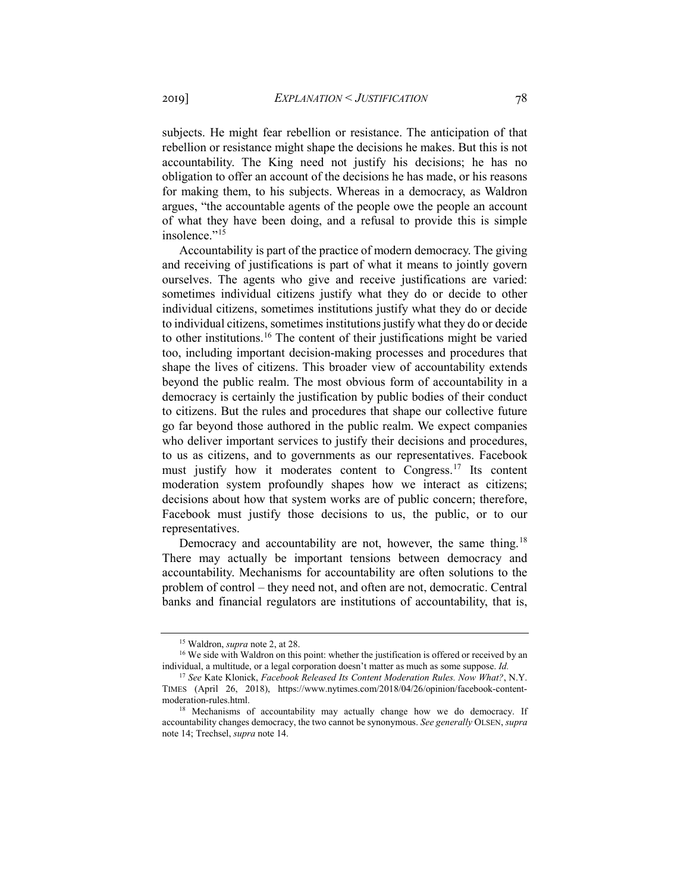subjects. He might fear rebellion or resistance. The anticipation of that rebellion or resistance might shape the decisions he makes. But this is not accountability. The King need not justify his decisions; he has no obligation to offer an account of the decisions he has made, or his reasons for making them, to his subjects. Whereas in a democracy, as Waldron argues, "the accountable agents of the people owe the people an account of what they have been doing, and a refusal to provide this is simple insolence."<sup>[15](#page-8-0)</sup>

Accountability is part of the practice of modern democracy. The giving and receiving of justifications is part of what it means to jointly govern ourselves. The agents who give and receive justifications are varied: sometimes individual citizens justify what they do or decide to other individual citizens, sometimes institutions justify what they do or decide to individual citizens, sometimes institutions justify what they do or decide to other institutions.[16](#page-8-1) The content of their justifications might be varied too, including important decision-making processes and procedures that shape the lives of citizens. This broader view of accountability extends beyond the public realm. The most obvious form of accountability in a democracy is certainly the justification by public bodies of their conduct to citizens. But the rules and procedures that shape our collective future go far beyond those authored in the public realm. We expect companies who deliver important services to justify their decisions and procedures, to us as citizens, and to governments as our representatives. Facebook must justify how it moderates content to Congress.<sup>17</sup> Its content moderation system profoundly shapes how we interact as citizens; decisions about how that system works are of public concern; therefore, Facebook must justify those decisions to us, the public, or to our representatives.

Democracy and accountability are not, however, the same thing.<sup>[18](#page-8-3)</sup> There may actually be important tensions between democracy and accountability. Mechanisms for accountability are often solutions to the problem of control – they need not, and often are not, democratic. Central banks and financial regulators are institutions of accountability, that is,

<sup>15</sup> Waldron, *supra* note 2, at 28.

<span id="page-8-1"></span><span id="page-8-0"></span><sup>&</sup>lt;sup>16</sup> We side with Waldron on this point: whether the justification is offered or received by an individual, a multitude, or a legal corporation doesn't matter as much as some suppose. *Id.*

<span id="page-8-2"></span><sup>17</sup> *See* Kate Klonick, *Facebook Released Its Content Moderation Rules. Now What?*, N.Y. TIMES (April 26, 2018), [https://www.nytimes.com/2018/04/26/opinion/facebook-content](https://www.nytimes.com/2018/04/26/opinion/facebook-content-moderation-rules.html)[moderation-rules.html.](https://www.nytimes.com/2018/04/26/opinion/facebook-content-moderation-rules.html)

<span id="page-8-3"></span><sup>&</sup>lt;sup>18</sup> Mechanisms of accountability may actually change how we do democracy. If accountability changes democracy, the two cannot be synonymous. *See generally* OLSEN, *supra*  note 14; Trechsel, *supra* note 14.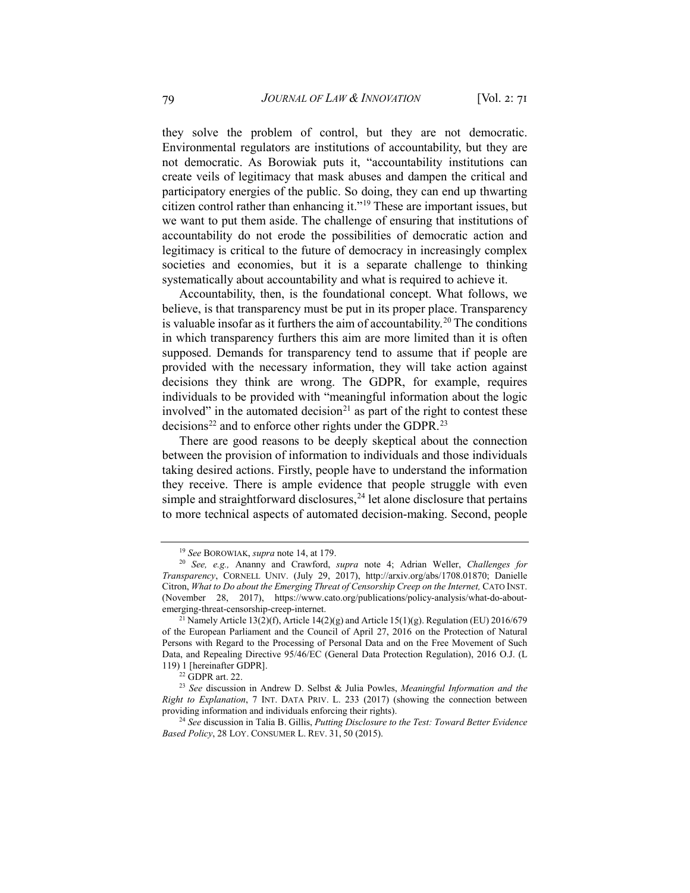they solve the problem of control, but they are not democratic. Environmental regulators are institutions of accountability, but they are not democratic. As Borowiak puts it, "accountability institutions can create veils of legitimacy that mask abuses and dampen the critical and participatory energies of the public. So doing, they can end up thwarting citizen control rather than enhancing it."[19](#page-9-0) These are important issues, but we want to put them aside. The challenge of ensuring that institutions of accountability do not erode the possibilities of democratic action and legitimacy is critical to the future of democracy in increasingly complex societies and economies, but it is a separate challenge to thinking systematically about accountability and what is required to achieve it.

Accountability, then, is the foundational concept. What follows, we believe, is that transparency must be put in its proper place. Transparency is valuable insofar as it furthers the aim of accountability.<sup>[20](#page-9-1)</sup> The conditions in which transparency furthers this aim are more limited than it is often supposed. Demands for transparency tend to assume that if people are provided with the necessary information, they will take action against decisions they think are wrong. The GDPR, for example, requires individuals to be provided with "meaningful information about the logic involved" in the automated decision<sup>[21](#page-9-2)</sup> as part of the right to contest these decisions<sup>22</sup> and to enforce other rights under the GDPR.<sup>[23](#page-9-4)</sup>

There are good reasons to be deeply skeptical about the connection between the provision of information to individuals and those individuals taking desired actions. Firstly, people have to understand the information they receive. There is ample evidence that people struggle with even simple and straightforward disclosures,<sup>[24](#page-9-5)</sup> let alone disclosure that pertains to more technical aspects of automated decision-making. Second, people

<sup>19</sup> *See* BOROWIAK, *supra* note 14, at 179.

<span id="page-9-1"></span><span id="page-9-0"></span><sup>20</sup> *See, e.g.,* Ananny and Crawford, *supra* note 4; Adrian Weller, *Challenges for Transparency*, CORNELL UNIV. (July 29, 2017), http://arxiv.org/abs/1708.01870; Danielle Citron, *What to Do about the Emerging Threat of Censorship Creep on the Internet,* CATO INST. (November 28, 2017), https://www.cato.org/publications/policy-analysis/what-do-aboutemerging-threat-censorship-creep-internet.

<span id="page-9-2"></span><sup>&</sup>lt;sup>21</sup> Namely Article 13(2)(f), Article 14(2)(g) and Article 15(1)(g). Regulation (EU) 2016/679 of the European Parliament and the Council of April 27, 2016 on the Protection of Natural Persons with Regard to the Processing of Personal Data and on the Free Movement of Such Data, and Repealing Directive 95/46/EC (General Data Protection Regulation), 2016 O.J. (L 119) 1 [hereinafter GDPR].

 $22$  GDPR art. 22.

<span id="page-9-4"></span><span id="page-9-3"></span><sup>23</sup> *See* discussion in Andrew D. Selbst & Julia Powles, *Meaningful Information and the Right to Explanation*, 7 INT. DATA PRIV. L. 233 (2017) (showing the connection between providing information and individuals enforcing their rights). 24 *See* discussion in Talia B. Gillis, *Putting Disclosure to the Test: Toward Better Evidence* 

<span id="page-9-5"></span>*Based Policy*, 28 LOY. CONSUMER L. REV. 31, 50 (2015).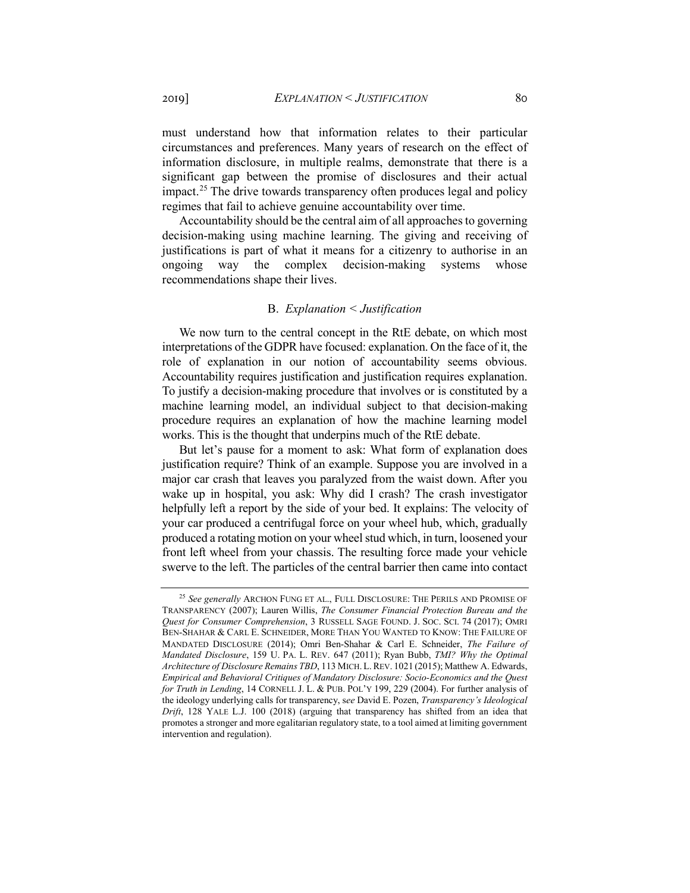must understand how that information relates to their particular circumstances and preferences. Many years of research on the effect of information disclosure, in multiple realms, demonstrate that there is a significant gap between the promise of disclosures and their actual impact.<sup>[25](#page-10-0)</sup> The drive towards transparency often produces legal and policy regimes that fail to achieve genuine accountability over time.

Accountability should be the central aim of all approaches to governing decision-making using machine learning. The giving and receiving of justifications is part of what it means for a citizenry to authorise in an ongoing way the complex decision-making systems whose recommendations shape their lives.

#### B. *Explanation < Justification*

We now turn to the central concept in the RtE debate, on which most interpretations of the GDPR have focused: explanation. On the face of it, the role of explanation in our notion of accountability seems obvious. Accountability requires justification and justification requires explanation. To justify a decision-making procedure that involves or is constituted by a machine learning model, an individual subject to that decision-making procedure requires an explanation of how the machine learning model works. This is the thought that underpins much of the RtE debate.

But let's pause for a moment to ask: What form of explanation does justification require? Think of an example. Suppose you are involved in a major car crash that leaves you paralyzed from the waist down. After you wake up in hospital, you ask: Why did I crash? The crash investigator helpfully left a report by the side of your bed. It explains: The velocity of your car produced a centrifugal force on your wheel hub, which, gradually produced a rotating motion on your wheel stud which, in turn, loosened your front left wheel from your chassis. The resulting force made your vehicle swerve to the left. The particles of the central barrier then came into contact

<span id="page-10-0"></span><sup>25</sup> *See generally* ARCHON FUNG ET AL., FULL DISCLOSURE: THE PERILS AND PROMISE OF TRANSPARENCY (2007); Lauren Willis, *The Consumer Financial Protection Bureau and the Quest for Consumer Comprehension*, 3 RUSSELL SAGE FOUND. J. SOC. SCI. 74 (2017); OMRI BEN-SHAHAR & CARL E. SCHNEIDER, MORE THAN YOU WANTED TO KNOW: THE FAILURE OF MANDATED DISCLOSURE (2014); Omri Ben-Shahar & Carl E. Schneider, *The Failure of Mandated Disclosure*, 159 U. PA. L. REV. 647 (2011); Ryan Bubb, *TMI? Why the Optimal Architecture of Disclosure Remains TBD*, 113 MICH. L.REV. 1021 (2015); Matthew A. Edwards, *Empirical and Behavioral Critiques of Mandatory Disclosure: Socio-Economics and the Quest for Truth in Lending*, 14 CORNELL J. L. & PUB. POL'Y 199, 229 (2004). For further analysis of the ideology underlying calls for transparency, s*ee* David E. Pozen, *Transparency's Ideological Drift*, 128 YALE L.J. 100 (2018) (arguing that transparency has shifted from an idea that promotes a stronger and more egalitarian regulatory state, to a tool aimed at limiting government intervention and regulation).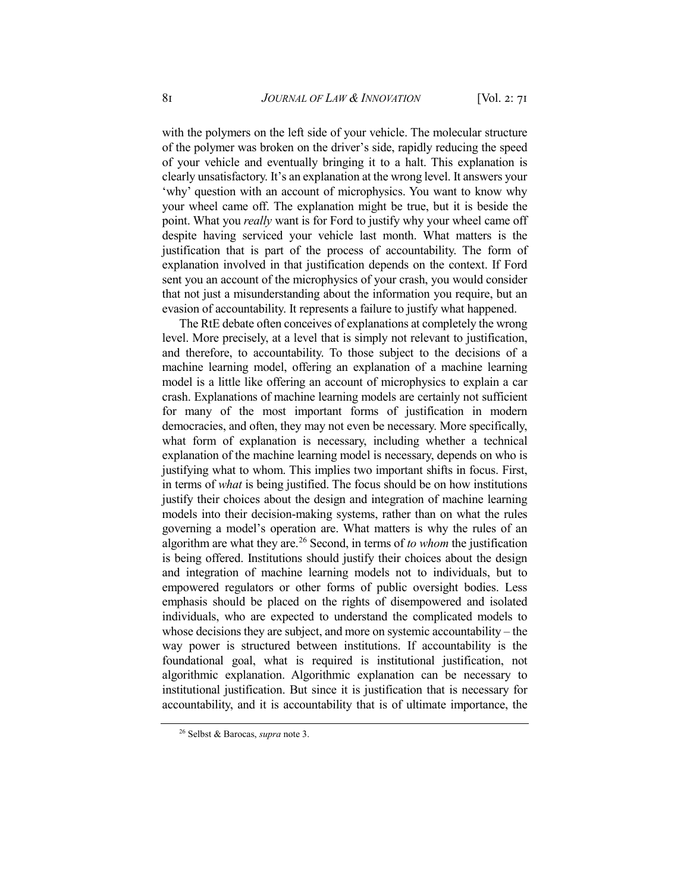with the polymers on the left side of your vehicle. The molecular structure of the polymer was broken on the driver's side, rapidly reducing the speed of your vehicle and eventually bringing it to a halt. This explanation is clearly unsatisfactory. It's an explanation at the wrong level. It answers your 'why' question with an account of microphysics. You want to know why your wheel came off. The explanation might be true, but it is beside the point. What you *really* want is for Ford to justify why your wheel came off despite having serviced your vehicle last month. What matters is the justification that is part of the process of accountability. The form of explanation involved in that justification depends on the context. If Ford sent you an account of the microphysics of your crash, you would consider that not just a misunderstanding about the information you require, but an evasion of accountability. It represents a failure to justify what happened.

The RtE debate often conceives of explanations at completely the wrong level. More precisely, at a level that is simply not relevant to justification, and therefore, to accountability. To those subject to the decisions of a machine learning model, offering an explanation of a machine learning model is a little like offering an account of microphysics to explain a car crash. Explanations of machine learning models are certainly not sufficient for many of the most important forms of justification in modern democracies, and often, they may not even be necessary. More specifically, what form of explanation is necessary, including whether a technical explanation of the machine learning model is necessary, depends on who is justifying what to whom. This implies two important shifts in focus. First, in terms of *what* is being justified. The focus should be on how institutions justify their choices about the design and integration of machine learning models into their decision-making systems, rather than on what the rules governing a model's operation are. What matters is why the rules of an algorithm are what they are.[26](#page-11-0) Second, in terms of *to whom* the justification is being offered. Institutions should justify their choices about the design and integration of machine learning models not to individuals, but to empowered regulators or other forms of public oversight bodies. Less emphasis should be placed on the rights of disempowered and isolated individuals, who are expected to understand the complicated models to whose decisions they are subject, and more on systemic accountability – the way power is structured between institutions. If accountability is the foundational goal, what is required is institutional justification, not algorithmic explanation. Algorithmic explanation can be necessary to institutional justification. But since it is justification that is necessary for accountability, and it is accountability that is of ultimate importance, the

<span id="page-11-0"></span><sup>26</sup> Selbst & Barocas, *supra* note 3.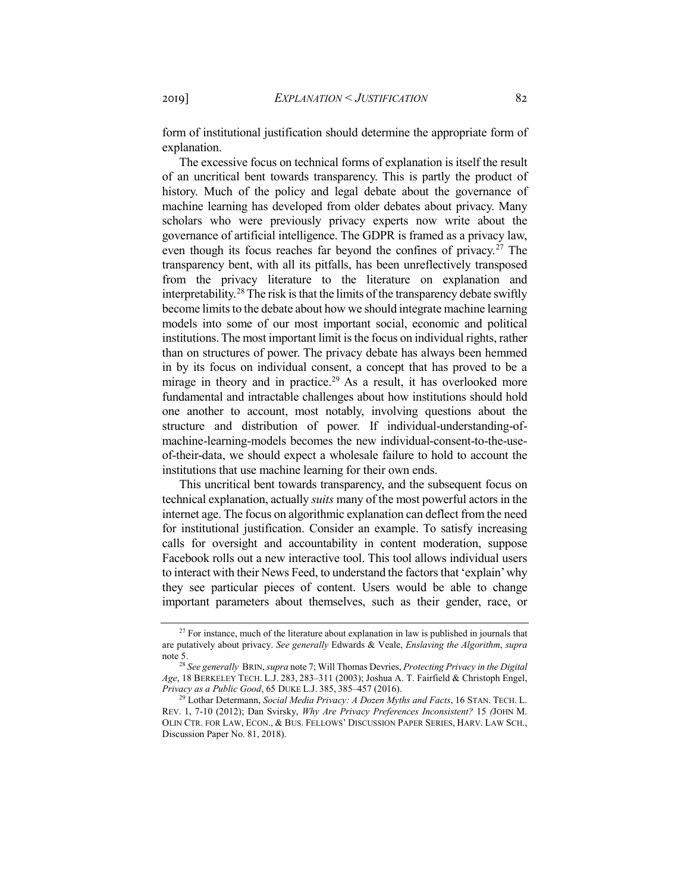form of institutional justification should determine the appropriate form of explanation.

The excessive focus on technical forms of explanation is itself the result of an uncritical bent towards transparency. This is partly the product of history. Much of the policy and legal debate about the governance of machine learning has developed from older debates about privacy. Many scholars who were previously privacy experts now write about the governance of artificial intelligence. The GDPR is framed as a privacy law, even though its focus reaches far beyond the confines of privacy.[27](#page-12-0) The transparency bent, with all its pitfalls, has been unreflectively transposed from the privacy literature to the literature on explanation and interpretability.<sup>[28](#page-12-1)</sup> The risk is that the limits of the transparency debate swiftly become limits to the debate about how we should integrate machine learning models into some of our most important social, economic and political institutions. The most important limit is the focus on individual rights, rather than on structures of power. The privacy debate has always been hemmed in by its focus on individual consent, a concept that has proved to be a mirage in theory and in practice.<sup>[29](#page-12-2)</sup> As a result, it has overlooked more fundamental and intractable challenges about how institutions should hold one another to account, most notably, involving questions about the structure and distribution of power. If individual-understanding-ofmachine-learning-models becomes the new individual-consent-to-the-useof-their-data, we should expect a wholesale failure to hold to account the institutions that use machine learning for their own ends.

This uncritical bent towards transparency, and the subsequent focus on technical explanation, actually *suits* many of the most powerful actors in the internet age. The focus on algorithmic explanation can deflect from the need for institutional justification. Consider an example. To satisfy increasing calls for oversight and accountability in content moderation, suppose Facebook rolls out a new interactive tool. This tool allows individual users to interact with their News Feed, to understand the factors that 'explain' why they see particular pieces of content. Users would be able to change important parameters about themselves, such as their gender, race, or

<span id="page-12-0"></span> $27$  For instance, much of the literature about explanation in law is published in journals that are putatively about privacy. *See generally* Edwards & Veale, *Enslaving the Algorithm*, *supra* note 5.

<span id="page-12-1"></span><sup>28</sup> *See generally* BRIN, *supra* note 7; Will Thomas Devries, *Protecting Privacy in the Digital Age*, 18 BERKELEY TECH. L.J. 283, 283–311 (2003); Joshua A. T. Fairfield & Christoph Engel, *Privacy as a Public Good*, 65 DUKE L.J. 385, 385–457 (2016).

<span id="page-12-2"></span><sup>29</sup> Lothar Determann, *Social Media Privacy: A Dozen Myths and Facts*, 16 STAN. TECH. L. REV. 1, 7-10 (2012); Dan Svirsky, *Why Are Privacy Preferences Inconsistent?* 15 *(*JOHN M. OLIN CTR. FOR LAW, ECON., & BUS. FELLOWS' DISCUSSION PAPER SERIES, HARV. LAW SCH., Discussion Paper No. 81, 2018).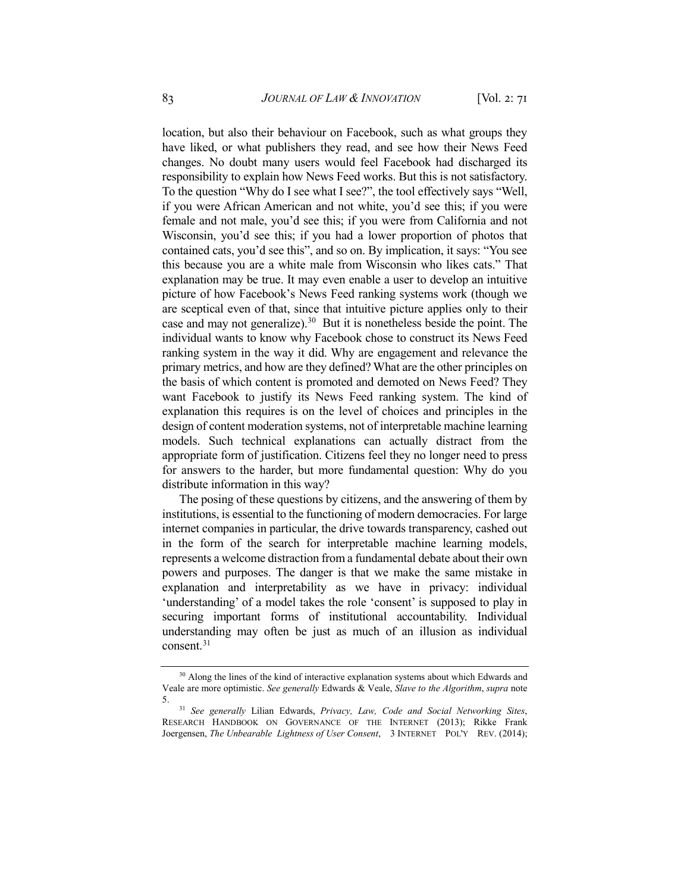location, but also their behaviour on Facebook, such as what groups they have liked, or what publishers they read, and see how their News Feed changes. No doubt many users would feel Facebook had discharged its responsibility to explain how News Feed works. But this is not satisfactory. To the question "Why do I see what I see?", the tool effectively says "Well, if you were African American and not white, you'd see this; if you were female and not male, you'd see this; if you were from California and not Wisconsin, you'd see this; if you had a lower proportion of photos that contained cats, you'd see this", and so on. By implication, it says: "You see this because you are a white male from Wisconsin who likes cats." That explanation may be true. It may even enable a user to develop an intuitive picture of how Facebook's News Feed ranking systems work (though we are sceptical even of that, since that intuitive picture applies only to their case and may not generalize)[.30](#page-13-0) But it is nonetheless beside the point. The individual wants to know why Facebook chose to construct its News Feed ranking system in the way it did. Why are engagement and relevance the primary metrics, and how are they defined? What are the other principles on the basis of which content is promoted and demoted on News Feed? They want Facebook to justify its News Feed ranking system. The kind of explanation this requires is on the level of choices and principles in the design of content moderation systems, not of interpretable machine learning models. Such technical explanations can actually distract from the appropriate form of justification. Citizens feel they no longer need to press for answers to the harder, but more fundamental question: Why do you distribute information in this way?

The posing of these questions by citizens, and the answering of them by institutions, is essential to the functioning of modern democracies. For large internet companies in particular, the drive towards transparency, cashed out in the form of the search for interpretable machine learning models, represents a welcome distraction from a fundamental debate about their own powers and purposes. The danger is that we make the same mistake in explanation and interpretability as we have in privacy: individual 'understanding' of a model takes the role 'consent' is supposed to play in securing important forms of institutional accountability. Individual understanding may often be just as much of an illusion as individual consent.[31](#page-13-1)

<span id="page-13-0"></span><sup>&</sup>lt;sup>30</sup> Along the lines of the kind of interactive explanation systems about which Edwards and Veale are more optimistic. *See generally* Edwards & Veale, *Slave to the Algorithm*, *supra* note 5.

<span id="page-13-1"></span><sup>31</sup> *See generally* Lilian Edwards, *Privacy, Law, Code and Social Networking Sites*, RESEARCH HANDBOOK ON GOVERNANCE OF THE INTERNET (2013); Rikke Frank Joergensen, *The Unbearable Lightness of User Consent*, 3 INTERNET POL'Y REV. (2014);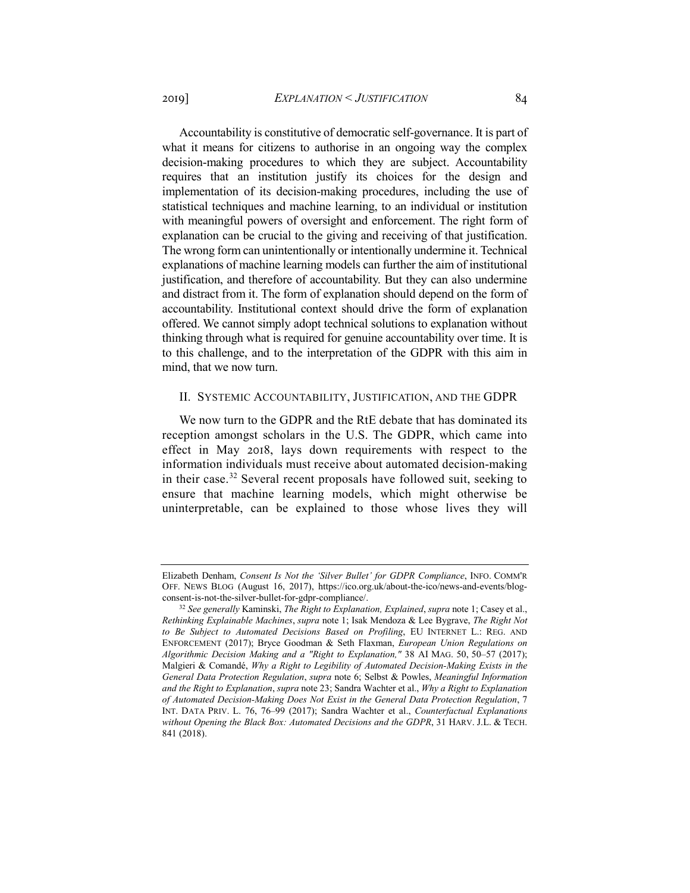Accountability is constitutive of democratic self-governance. It is part of what it means for citizens to authorise in an ongoing way the complex decision-making procedures to which they are subject. Accountability requires that an institution justify its choices for the design and implementation of its decision-making procedures, including the use of statistical techniques and machine learning, to an individual or institution with meaningful powers of oversight and enforcement. The right form of explanation can be crucial to the giving and receiving of that justification. The wrong form can unintentionally or intentionally undermine it. Technical explanations of machine learning models can further the aim of institutional justification, and therefore of accountability. But they can also undermine and distract from it. The form of explanation should depend on the form of accountability. Institutional context should drive the form of explanation offered. We cannot simply adopt technical solutions to explanation without thinking through what is required for genuine accountability over time. It is to this challenge, and to the interpretation of the GDPR with this aim in mind, that we now turn.

#### II. SYSTEMIC ACCOUNTABILITY, JUSTIFICATION, AND THE GDPR

We now turn to the GDPR and the RtE debate that has dominated its reception amongst scholars in the U.S. The GDPR, which came into effect in May 2018, lays down requirements with respect to the information individuals must receive about automated decision-making in their case.[32](#page-14-0) Several recent proposals have followed suit, seeking to ensure that machine learning models, which might otherwise be uninterpretable, can be explained to those whose lives they will

Elizabeth Denham, *Consent Is Not the 'Silver Bullet' for GDPR Compliance*, INFO. COMM'R OFF. NEWS BLOG (August 16, 2017), https://ico.org.uk/about-the-ico/news-and-events/blogconsent-is-not-the-silver-bullet-for-gdpr-compliance/.

<span id="page-14-0"></span><sup>32</sup> *See generally* Kaminski, *The Right to Explanation, Explained*, *supra* note 1; Casey et al., *Rethinking Explainable Machines*, *supra* note 1; Isak Mendoza & Lee Bygrave, *The Right Not to Be Subject to Automated Decisions Based on Profiling*, EU INTERNET L.: REG. AND ENFORCEMENT (2017); Bryce Goodman & Seth Flaxman, *European Union Regulations on Algorithmic Decision Making and a "Right to Explanation,"* 38 AI MAG. 50, 50–57 (2017); Malgieri & Comandé, *Why a Right to Legibility of Automated Decision-Making Exists in the General Data Protection Regulation*, *supra* note 6; Selbst & Powles, *Meaningful Information and the Right to Explanation*, *supra* note 23; Sandra Wachter et al., *Why a Right to Explanation of Automated Decision-Making Does Not Exist in the General Data Protection Regulation*, 7 INT. DATA PRIV. L. 76, 76–99 (2017); Sandra Wachter et al., *Counterfactual Explanations without Opening the Black Box: Automated Decisions and the GDPR*, 31 HARV. J.L. & TECH. 841 (2018).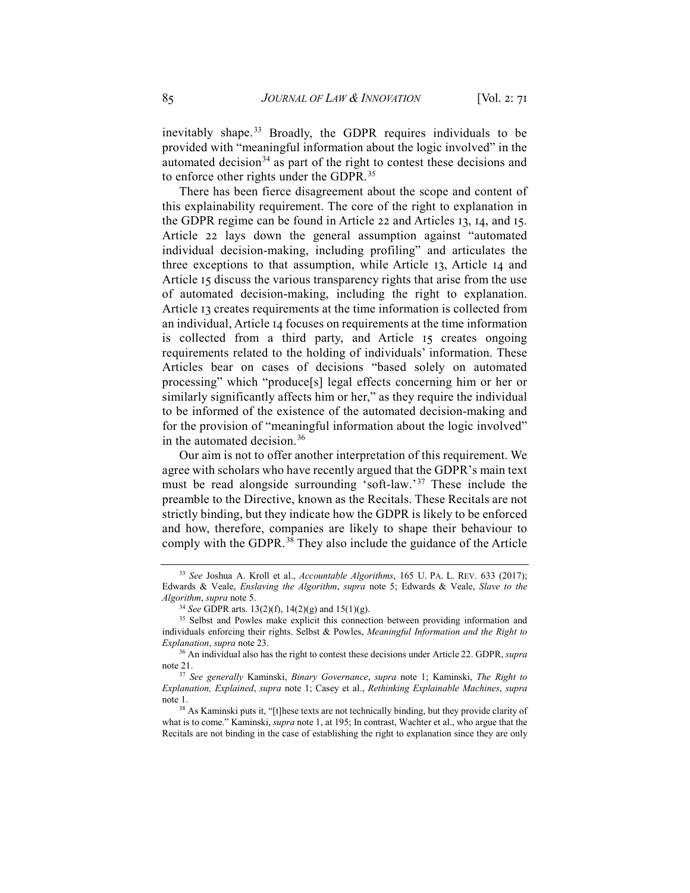inevitably shape.[33](#page-15-0) Broadly, the GDPR requires individuals to be provided with "meaningful information about the logic involved" in the automated decision<sup>[34](#page-15-1)</sup> as part of the right to contest these decisions and to enforce other rights under the GDPR.<sup>[35](#page-15-2)</sup>

There has been fierce disagreement about the scope and content of this explainability requirement. The core of the right to explanation in the GDPR regime can be found in Article 22 and Articles 13, 14, and 15. Article 22 lays down the general assumption against "automated individual decision-making, including profiling" and articulates the three exceptions to that assumption, while Article 13, Article 14 and Article 15 discuss the various transparency rights that arise from the use of automated decision-making, including the right to explanation. Article 13 creates requirements at the time information is collected from an individual, Article 14 focuses on requirements at the time information is collected from a third party, and Article 15 creates ongoing requirements related to the holding of individuals' information. These Articles bear on cases of decisions "based solely on automated processing" which "produce[s] legal effects concerning him or her or similarly significantly affects him or her," as they require the individual to be informed of the existence of the automated decision-making and for the provision of "meaningful information about the logic involved" in the automated decision.<sup>[36](#page-15-3)</sup>

Our aim is not to offer another interpretation of this requirement. We agree with scholars who have recently argued that the GDPR's main text must be read alongside surrounding 'soft-law.'[37](#page-15-4) These include the preamble to the Directive, known as the Recitals. These Recitals are not strictly binding, but they indicate how the GDPR is likely to be enforced and how, therefore, companies are likely to shape their behaviour to comply with the GDPR.<sup>[38](#page-15-5)</sup> They also include the guidance of the Article

<span id="page-15-0"></span><sup>33</sup> *See* Joshua A. Kroll et al., *Accountable Algorithms*, 165 U. PA. L. REV. 633 (2017); Edwards & Veale, *Enslaving the Algorithm*, *supra* note 5; Edwards & Veale, *Slave to the Algorithm*, *supra* note 5.

<sup>34</sup> *See* GDPR arts. 13(2)(f), 14(2)(g) and 15(1)(g).

<span id="page-15-2"></span><span id="page-15-1"></span><sup>&</sup>lt;sup>35</sup> Selbst and Powles make explicit this connection between providing information and individuals enforcing their rights. Selbst & Powles, *Meaningful Information and the Right to Explanation*, *supra* note 23.

<span id="page-15-3"></span><sup>36</sup> An individual also has the right to contest these decisions under Article 22. GDPR, *supra*  note 21.

<span id="page-15-4"></span><sup>37</sup> *See generally* Kaminski, *Binary Governance*, *supra* note 1; Kaminski, *The Right to Explanation, Explained*, *supra* note 1; Casey et al., *Rethinking Explainable Machines*, *supra* note 1.

<span id="page-15-5"></span><sup>&</sup>lt;sup>38</sup> As Kaminski puts it, "[t]hese texts are not technically binding, but they provide clarity of what is to come." Kaminski, *supra* note 1, at 195; In contrast, Wachter et al., who argue that the Recitals are not binding in the case of establishing the right to explanation since they are only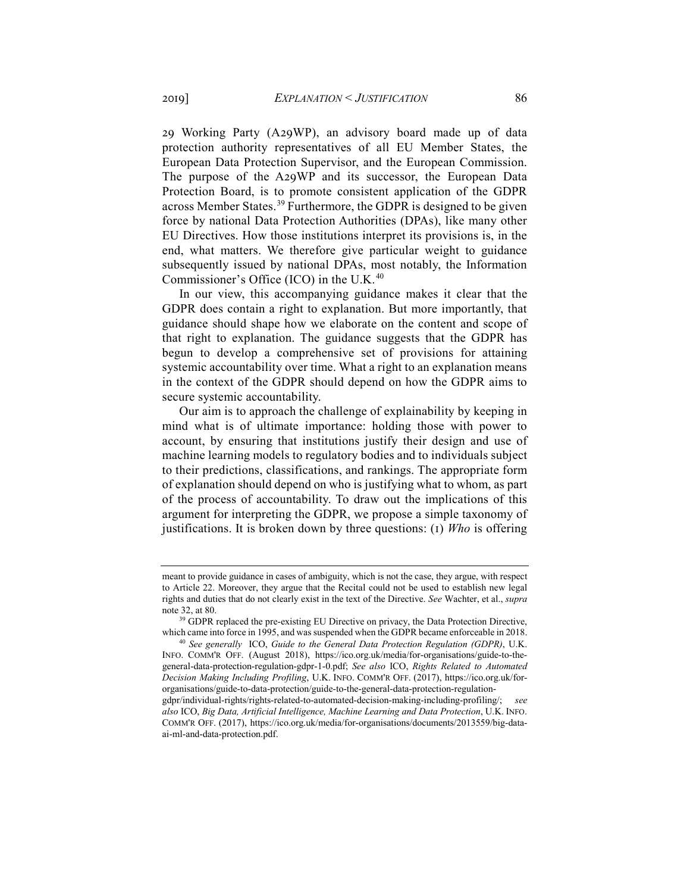29 Working Party (A29WP), an advisory board made up of data protection authority representatives of all EU Member States, the European Data Protection Supervisor, and the European Commission. The purpose of the A29WP and its successor, the European Data Protection Board, is to promote consistent application of the GDPR across Member States.[39](#page-16-0) Furthermore, the GDPR is designed to be given force by national Data Protection Authorities (DPAs), like many other EU Directives. How those institutions interpret its provisions is, in the end, what matters. We therefore give particular weight to guidance subsequently issued by national DPAs, most notably, the Information Commissioner's Office (ICO) in the U.K.[40](#page-16-1)

In our view, this accompanying guidance makes it clear that the GDPR does contain a right to explanation. But more importantly, that guidance should shape how we elaborate on the content and scope of that right to explanation. The guidance suggests that the GDPR has begun to develop a comprehensive set of provisions for attaining systemic accountability over time. What a right to an explanation means in the context of the GDPR should depend on how the GDPR aims to secure systemic accountability.

Our aim is to approach the challenge of explainability by keeping in mind what is of ultimate importance: holding those with power to account, by ensuring that institutions justify their design and use of machine learning models to regulatory bodies and to individuals subject to their predictions, classifications, and rankings. The appropriate form of explanation should depend on who is justifying what to whom, as part of the process of accountability. To draw out the implications of this argument for interpreting the GDPR, we propose a simple taxonomy of justifications. It is broken down by three questions: (1) *Who* is offering

meant to provide guidance in cases of ambiguity, which is not the case, they argue, with respect to Article 22. Moreover, they argue that the Recital could not be used to establish new legal rights and duties that do not clearly exist in the text of the Directive. *See* Wachter, et al., *supra*  note 32, at 80.

<span id="page-16-0"></span><sup>&</sup>lt;sup>39</sup> GDPR replaced the pre-existing EU Directive on privacy, the Data Protection Directive, which came into force in 1995, and was suspended when the GDPR became enforceable in 2018.

<span id="page-16-1"></span><sup>40</sup> *See generally* ICO, *Guide to the General Data Protection Regulation (GDPR)*, U.K. INFO. COMM'R OFF. (August 2018), https://ico.org.uk/media/for-organisations/guide-to-thegeneral-data-protection-regulation-gdpr-1-0.pdf; *See also* ICO, *Rights Related to Automated Decision Making Including Profiling*, U.K. INFO. COMM'R OFF. (2017), https://ico.org.uk/fororganisations/guide-to-data-protection/guide-to-the-general-data-protection-regulation-

gdpr/individual-rights/rights-related-to-automated-decision-making-including-profiling/; *see also* ICO, *Big Data, Artificial Intelligence, Machine Learning and Data Protection*, U.K. INFO. COMM'R OFF. (2017), https://ico.org.uk/media/for-organisations/documents/2013559/big-dataai-ml-and-data-protection.pdf.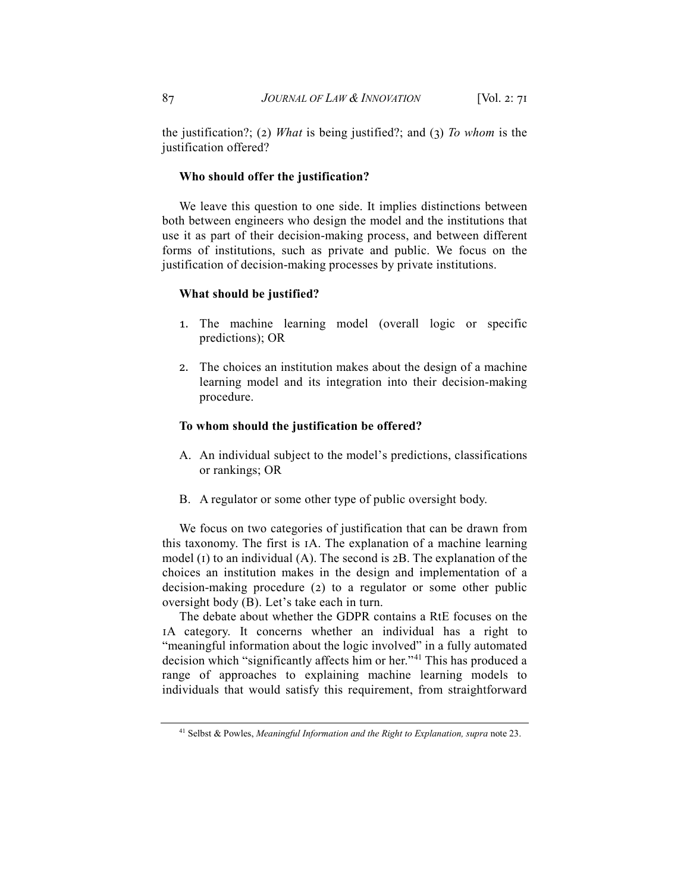the justification?; (2) *What* is being justified?; and (3) *To whom* is the justification offered?

#### **Who should offer the justification?**

We leave this question to one side. It implies distinctions between both between engineers who design the model and the institutions that use it as part of their decision-making process, and between different forms of institutions, such as private and public. We focus on the justification of decision-making processes by private institutions.

#### **What should be justified?**

- 1. The machine learning model (overall logic or specific predictions); OR
- 2. The choices an institution makes about the design of a machine learning model and its integration into their decision-making procedure.

#### **To whom should the justification be offered?**

- A. An individual subject to the model's predictions, classifications or rankings; OR
- B. A regulator or some other type of public oversight body.

We focus on two categories of justification that can be drawn from this taxonomy. The first is 1A. The explanation of a machine learning model (1) to an individual (A). The second is 2B. The explanation of the choices an institution makes in the design and implementation of a decision-making procedure (2) to a regulator or some other public oversight body (B). Let's take each in turn.

The debate about whether the GDPR contains a RtE focuses on the 1A category. It concerns whether an individual has a right to "meaningful information about the logic involved" in a fully automated decision which "significantly affects him or her."[41](#page-17-0) This has produced a range of approaches to explaining machine learning models to individuals that would satisfy this requirement, from straightforward

<span id="page-17-0"></span><sup>41</sup> Selbst & Powles, *Meaningful Information and the Right to Explanation, supra* note 23.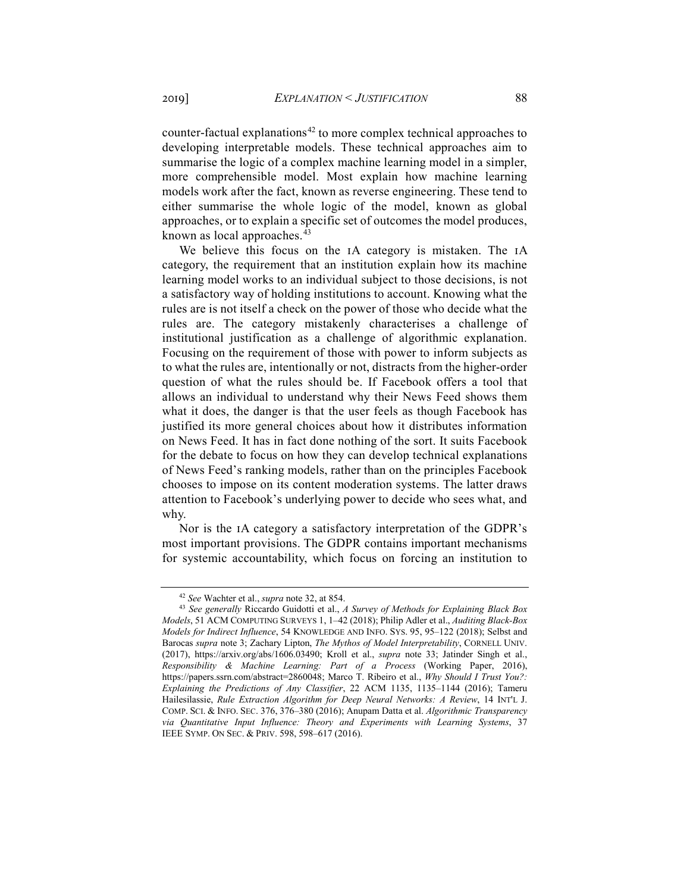counter-factual explanations<sup> $42$ </sup> to more complex technical approaches to developing interpretable models. These technical approaches aim to summarise the logic of a complex machine learning model in a simpler, more comprehensible model. Most explain how machine learning models work after the fact, known as reverse engineering. These tend to either summarise the whole logic of the model, known as global approaches, or to explain a specific set of outcomes the model produces, known as local approaches.<sup>[43](#page-18-1)</sup>

We believe this focus on the 1A category is mistaken. The 1A category, the requirement that an institution explain how its machine learning model works to an individual subject to those decisions, is not a satisfactory way of holding institutions to account. Knowing what the rules are is not itself a check on the power of those who decide what the rules are. The category mistakenly characterises a challenge of institutional justification as a challenge of algorithmic explanation. Focusing on the requirement of those with power to inform subjects as to what the rules are, intentionally or not, distracts from the higher-order question of what the rules should be. If Facebook offers a tool that allows an individual to understand why their News Feed shows them what it does, the danger is that the user feels as though Facebook has justified its more general choices about how it distributes information on News Feed. It has in fact done nothing of the sort. It suits Facebook for the debate to focus on how they can develop technical explanations of News Feed's ranking models, rather than on the principles Facebook chooses to impose on its content moderation systems. The latter draws attention to Facebook's underlying power to decide who sees what, and why.

Nor is the 1A category a satisfactory interpretation of the GDPR's most important provisions. The GDPR contains important mechanisms for systemic accountability, which focus on forcing an institution to

<sup>42</sup> *See* Wachter et al., *supra* note 32, at 854.

<span id="page-18-1"></span><span id="page-18-0"></span><sup>43</sup> *See generally* Riccardo Guidotti et al., *A Survey of Methods for Explaining Black Box Models*, 51 ACM COMPUTING SURVEYS 1, 1–42 (2018); Philip Adler et al., *Auditing Black-Box Models for Indirect Influence*, 54 KNOWLEDGE AND INFO. SYS. 95, 95–122 (2018); Selbst and Barocas *supra* note 3; Zachary Lipton, *The Mythos of Model Interpretability*, CORNELL UNIV. (2017), https://arxiv.org/abs/1606.03490; Kroll et al., *supra* note 33; Jatinder Singh et al., *Responsibility & Machine Learning: Part of a Process* (Working Paper, 2016), https://papers.ssrn.com/abstract=2860048; Marco T. Ribeiro et al., *Why Should I Trust You?: Explaining the Predictions of Any Classifier*, 22 ACM 1135, 1135–1144 (2016); Tameru Hailesilassie, *Rule Extraction Algorithm for Deep Neural Networks: A Review*, 14 INT'L J. COMP. SCI. & INFO. SEC. 376, 376–380 (2016); Anupam Datta et al. *Algorithmic Transparency via Quantitative Input Influence: Theory and Experiments with Learning Systems*, 37 IEEE SYMP. ON SEC. & PRIV. 598, 598–617 (2016).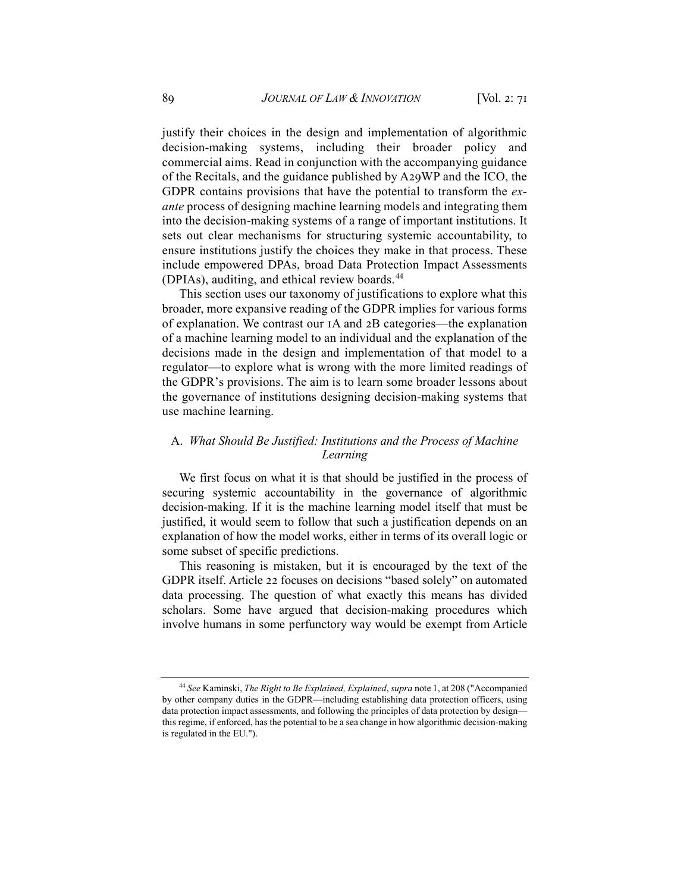justify their choices in the design and implementation of algorithmic decision-making systems, including their broader policy and commercial aims. Read in conjunction with the accompanying guidance of the Recitals, and the guidance published by A29WP and the ICO, the GDPR contains provisions that have the potential to transform the *exante* process of designing machine learning models and integrating them into the decision-making systems of a range of important institutions. It sets out clear mechanisms for structuring systemic accountability, to ensure institutions justify the choices they make in that process. These include empowered DPAs, broad Data Protection Impact Assessments (DPIAs), auditing, and ethical review boards.<sup>[44](#page-19-0)</sup>

This section uses our taxonomy of justifications to explore what this broader, more expansive reading of the GDPR implies for various forms of explanation. We contrast our 1A and 2B categories—the explanation of a machine learning model to an individual and the explanation of the decisions made in the design and implementation of that model to a regulator—to explore what is wrong with the more limited readings of the GDPR's provisions. The aim is to learn some broader lessons about the governance of institutions designing decision-making systems that use machine learning.

# A. *What Should Be Justified: Institutions and the Process of Machine Learning*

We first focus on what it is that should be justified in the process of securing systemic accountability in the governance of algorithmic decision-making. If it is the machine learning model itself that must be justified, it would seem to follow that such a justification depends on an explanation of how the model works, either in terms of its overall logic or some subset of specific predictions.

This reasoning is mistaken, but it is encouraged by the text of the GDPR itself. Article 22 focuses on decisions "based solely" on automated data processing. The question of what exactly this means has divided scholars. Some have argued that decision-making procedures which involve humans in some perfunctory way would be exempt from Article

<span id="page-19-0"></span><sup>44</sup> *See* Kaminski, *The Right to Be Explained, Explained*, *supra* note 1, at 208 ("Accompanied by other company duties in the GDPR—including establishing data protection officers, using data protection impact assessments, and following the principles of data protection by design this regime, if enforced, has the potential to be a sea change in how algorithmic decision-making is regulated in the EU.").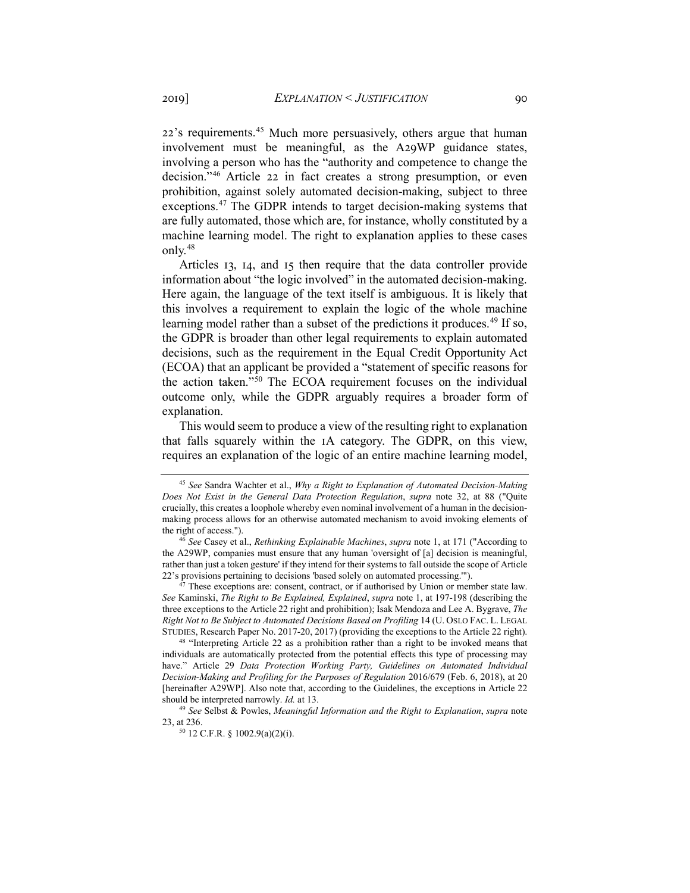22's requirements.<sup>[45](#page-20-0)</sup> Much more persuasively, others argue that human involvement must be meaningful, as the A29WP guidance states, involving a person who has the "authority and competence to change the decision."[46](#page-20-1) Article 22 in fact creates a strong presumption, or even prohibition, against solely automated decision-making, subject to three exceptions.[47](#page-20-2) The GDPR intends to target decision-making systems that are fully automated, those which are, for instance, wholly constituted by a machine learning model. The right to explanation applies to these cases only.[48](#page-20-3)

Articles 13, 14, and 15 then require that the data controller provide information about "the logic involved" in the automated decision-making. Here again, the language of the text itself is ambiguous. It is likely that this involves a requirement to explain the logic of the whole machine learning model rather than a subset of the predictions it produces.<sup>[49](#page-20-4)</sup> If so, the GDPR is broader than other legal requirements to explain automated decisions, such as the requirement in the Equal Credit Opportunity Act (ECOA) that an applicant be provided a "statement of specific reasons for the action taken."[50](#page-20-5) The ECOA requirement focuses on the individual outcome only, while the GDPR arguably requires a broader form of explanation.

This would seem to produce a view of the resulting right to explanation that falls squarely within the 1A category. The GDPR, on this view, requires an explanation of the logic of an entire machine learning model,

<span id="page-20-0"></span><sup>45</sup> *See* Sandra Wachter et al., *Why a Right to Explanation of Automated Decision-Making Does Not Exist in the General Data Protection Regulation*, *supra* note 32, at 88 ("Quite crucially, this creates a loophole whereby even nominal involvement of a human in the decisionmaking process allows for an otherwise automated mechanism to avoid invoking elements of the right of access.").

<span id="page-20-1"></span><sup>46</sup> *See* Casey et al., *Rethinking Explainable Machines*, *supra* note 1, at 171 ("According to the A29WP, companies must ensure that any human 'oversight of [a] decision is meaningful, rather than just a token gesture' if they intend for their systems to fall outside the scope of Article 22's provisions pertaining to decisions 'based solely on automated processing.'").

<span id="page-20-2"></span><sup>&</sup>lt;sup>47</sup> These exceptions are: consent, contract, or if authorised by Union or member state law. *See* Kaminski, *The Right to Be Explained, Explained*, *supra* note 1, at 197-198 (describing the three exceptions to the Article 22 right and prohibition); Isak Mendoza and Lee A. Bygrave, *The Right Not to Be Subject to Automated Decisions Based on Profiling* 14 (U. OSLO FAC. L. LEGAL STUDIES, Research Paper No. 2017-20, 2017) (providing the exceptions to the Article 22 right).

<span id="page-20-3"></span><sup>&</sup>lt;sup>48</sup> "Interpreting Article 22 as a prohibition rather than a right to be invoked means that individuals are automatically protected from the potential effects this type of processing may have." Article 29 *Data Protection Working Party, Guidelines on Automated Individual Decision-Making and Profiling for the Purposes of Regulation* 2016/679 (Feb. 6, 2018), at 20 [hereinafter A29WP]. Also note that, according to the Guidelines, the exceptions in Article 22 should be interpreted narrowly. *Id.* at 13.

<span id="page-20-5"></span><span id="page-20-4"></span><sup>49</sup> *See* Selbst & Powles, *Meaningful Information and the Right to Explanation*, *supra* note 23, at 236.

<sup>50</sup> 12 C.F.R. § 1002.9(a)(2)(i).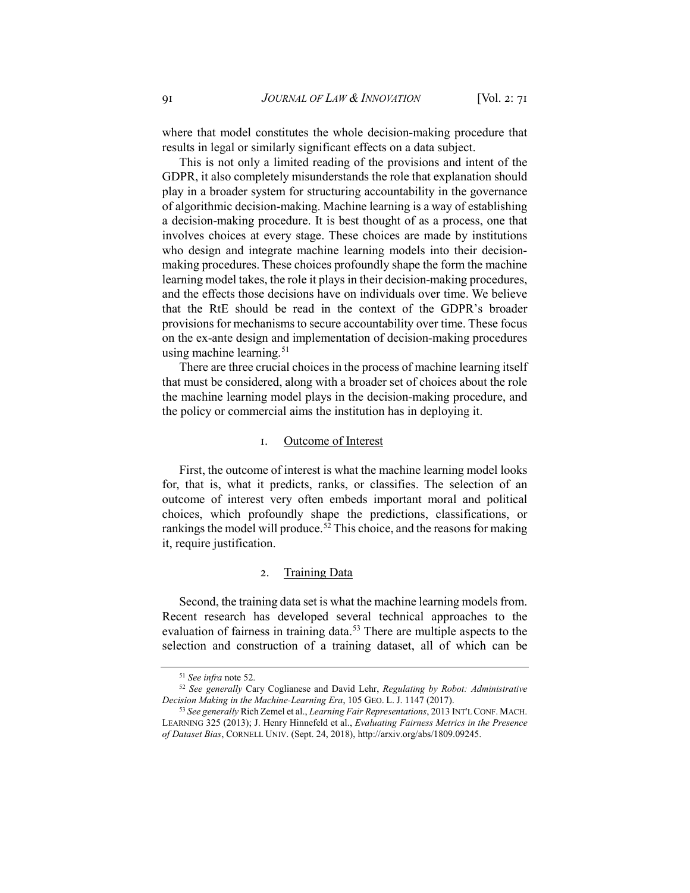where that model constitutes the whole decision-making procedure that results in legal or similarly significant effects on a data subject.

This is not only a limited reading of the provisions and intent of the GDPR, it also completely misunderstands the role that explanation should play in a broader system for structuring accountability in the governance of algorithmic decision-making. Machine learning is a way of establishing a decision-making procedure. It is best thought of as a process, one that involves choices at every stage. These choices are made by institutions who design and integrate machine learning models into their decisionmaking procedures. These choices profoundly shape the form the machine learning model takes, the role it plays in their decision-making procedures, and the effects those decisions have on individuals over time. We believe that the RtE should be read in the context of the GDPR's broader provisions for mechanisms to secure accountability over time. These focus on the ex-ante design and implementation of decision-making procedures using machine learning.<sup>[51](#page-21-0)</sup>

There are three crucial choices in the process of machine learning itself that must be considered, along with a broader set of choices about the role the machine learning model plays in the decision-making procedure, and the policy or commercial aims the institution has in deploying it.

#### 1. Outcome of Interest

First, the outcome of interest is what the machine learning model looks for, that is, what it predicts, ranks, or classifies. The selection of an outcome of interest very often embeds important moral and political choices, which profoundly shape the predictions, classifications, or rankings the model will produce.<sup>[52](#page-21-1)</sup> This choice, and the reasons for making it, require justification.

## 2. Training Data

Second, the training data set is what the machine learning models from. Recent research has developed several technical approaches to the evaluation of fairness in training data.<sup>[53](#page-21-2)</sup> There are multiple aspects to the selection and construction of a training dataset, all of which can be

<span id="page-21-1"></span><span id="page-21-0"></span><sup>51</sup> *See infra* note 52. 52 *See generally* Cary Coglianese and David Lehr, *Regulating by Robot: Administrative Decision Making in the Machine-Learning Era*, 105 GEO. L. J. 1147 (2017).

<span id="page-21-2"></span><sup>53</sup> *See generally* Rich Zemel et al., *Learning Fair Representations*, 2013 INT'L CONF. MACH. LEARNING 325 (2013); J. Henry Hinnefeld et al., *Evaluating Fairness Metrics in the Presence of Dataset Bias*, CORNELL UNIV. (Sept. 24, 2018), http://arxiv.org/abs/1809.09245.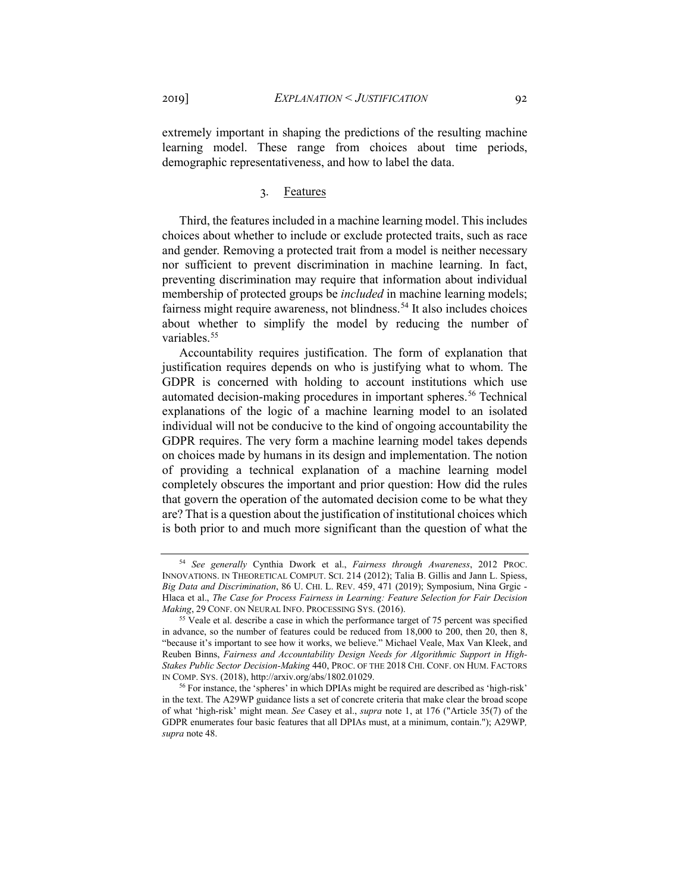extremely important in shaping the predictions of the resulting machine learning model. These range from choices about time periods, demographic representativeness, and how to label the data.

# 3. Features

Third, the features included in a machine learning model. This includes choices about whether to include or exclude protected traits, such as race and gender. Removing a protected trait from a model is neither necessary nor sufficient to prevent discrimination in machine learning. In fact, preventing discrimination may require that information about individual membership of protected groups be *included* in machine learning models; fairness might require awareness, not blindness.<sup>[54](#page-22-0)</sup> It also includes choices about whether to simplify the model by reducing the number of variables.<sup>[55](#page-22-1)</sup>

Accountability requires justification. The form of explanation that justification requires depends on who is justifying what to whom. The GDPR is concerned with holding to account institutions which use automated decision-making procedures in important spheres.<sup>[56](#page-22-2)</sup> Technical explanations of the logic of a machine learning model to an isolated individual will not be conducive to the kind of ongoing accountability the GDPR requires. The very form a machine learning model takes depends on choices made by humans in its design and implementation. The notion of providing a technical explanation of a machine learning model completely obscures the important and prior question: How did the rules that govern the operation of the automated decision come to be what they are? That is a question about the justification of institutional choices which is both prior to and much more significant than the question of what the

<span id="page-22-0"></span><sup>54</sup> *See generally* Cynthia Dwork et al., *Fairness through Awareness*, 2012 PROC. INNOVATIONS. IN THEORETICAL COMPUT. SCI. 214 (2012); Talia B. Gillis and Jann L. Spiess, *Big Data and Discrimination*, 86 U. CHI. L. REV. 459, 471 (2019); Symposium, Nina Grgic - Hlaca et al., *The Case for Process Fairness in Learning: Feature Selection for Fair Decision Making*, 29 CONF. ON NEURAL INFO. PROCESSING SYS. (2016).

<span id="page-22-1"></span><sup>&</sup>lt;sup>55</sup> Veale et al. describe a case in which the performance target of 75 percent was specified in advance, so the number of features could be reduced from 18,000 to 200, then 20, then 8, "because it's important to see how it works, we believe." Michael Veale, Max Van Kleek, and Reuben Binns, *Fairness and Accountability Design Needs for Algorithmic Support in High-Stakes Public Sector Decision-Making* 440, PROC. OF THE 2018 CHI. CONF. ON HUM. FACTORS IN COMP. SYS. (2018), http://arxiv.org/abs/1802.01029.

<span id="page-22-2"></span><sup>56</sup> For instance, the 'spheres' in which DPIAs might be required are described as 'high-risk' in the text. The A29WP guidance lists a set of concrete criteria that make clear the broad scope of what 'high-risk' might mean. *See* Casey et al., *supra* note 1, at 176 ("Article 35(7) of the GDPR enumerates four basic features that all DPIAs must, at a minimum, contain."); A29WP*, supra* note 48.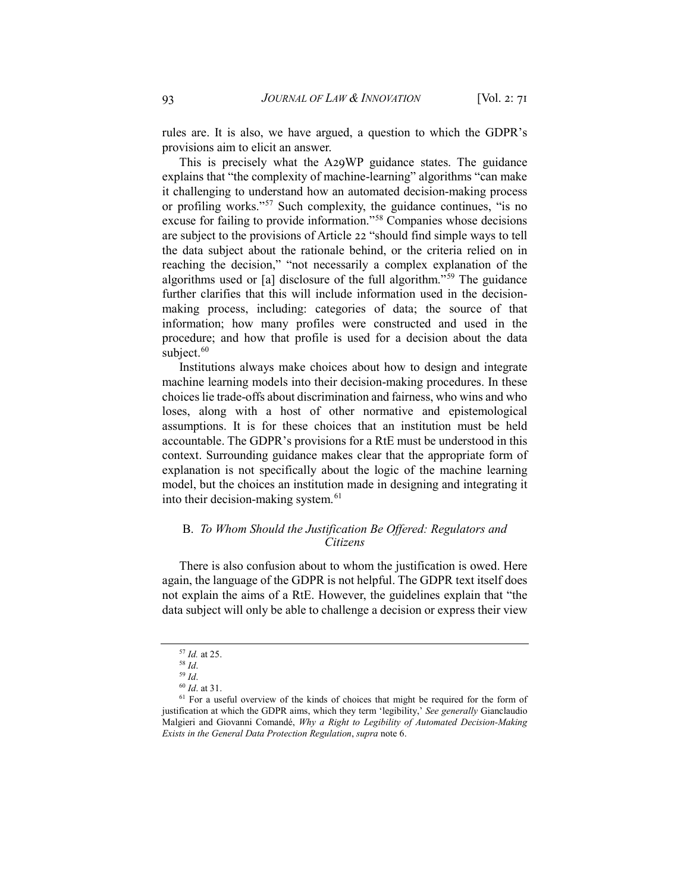rules are. It is also, we have argued, a question to which the GDPR's provisions aim to elicit an answer.

This is precisely what the A29WP guidance states. The guidance explains that "the complexity of machine-learning" algorithms "can make it challenging to understand how an automated decision-making process or profiling works.["57](#page-23-0) Such complexity, the guidance continues, "is no excuse for failing to provide information."[58](#page-23-1) Companies whose decisions are subject to the provisions of Article 22 "should find simple ways to tell the data subject about the rationale behind, or the criteria relied on in reaching the decision," "not necessarily a complex explanation of the algorithms used or [a] disclosure of the full algorithm."[59](#page-23-2) The guidance further clarifies that this will include information used in the decisionmaking process, including: categories of data; the source of that information; how many profiles were constructed and used in the procedure; and how that profile is used for a decision about the data subject.<sup>60</sup>

Institutions always make choices about how to design and integrate machine learning models into their decision-making procedures. In these choices lie trade-offs about discrimination and fairness, who wins and who loses, along with a host of other normative and epistemological assumptions. It is for these choices that an institution must be held accountable. The GDPR's provisions for a RtE must be understood in this context. Surrounding guidance makes clear that the appropriate form of explanation is not specifically about the logic of the machine learning model, but the choices an institution made in designing and integrating it into their decision-making system.<sup>[61](#page-23-4)</sup>

## B. *To Whom Should the Justification Be Offered: Regulators and Citizens*

There is also confusion about to whom the justification is owed. Here again, the language of the GDPR is not helpful. The GDPR text itself does not explain the aims of a RtE. However, the guidelines explain that "the data subject will only be able to challenge a decision or express their view

<sup>57</sup> *Id.* at 25.

<span id="page-23-4"></span><span id="page-23-3"></span><span id="page-23-2"></span><span id="page-23-1"></span><span id="page-23-0"></span><sup>&</sup>lt;sup>59</sup> *Id*.<br><sup>60</sup> *Id*. at 31. 60 *Id*. at 31. 60 *Id*. at 31. justification at which the GDPR aims, which they term 'legibility,' *See generally* Gianclaudio Malgieri and Giovanni Comandé, *Why a Right to Legibility of Automated Decision-Making Exists in the General Data Protection Regulation*, *supra* note 6.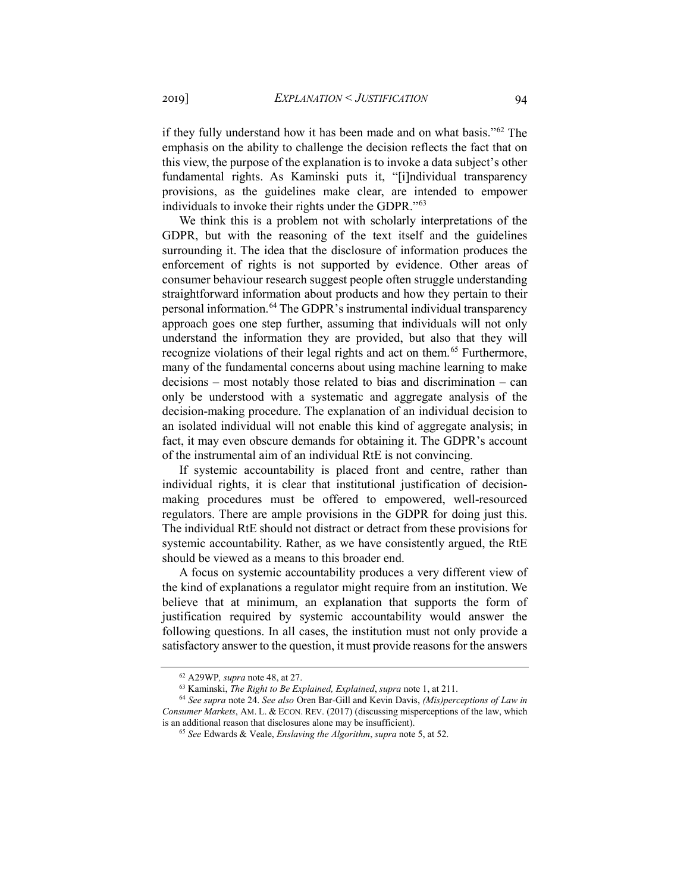if they fully understand how it has been made and on what basis."[62](#page-24-0) The emphasis on the ability to challenge the decision reflects the fact that on this view, the purpose of the explanation is to invoke a data subject's other fundamental rights. As Kaminski puts it, "[i]ndividual transparency provisions, as the guidelines make clear, are intended to empower individuals to invoke their rights under the GDPR."[63](#page-24-1)

We think this is a problem not with scholarly interpretations of the GDPR, but with the reasoning of the text itself and the guidelines surrounding it. The idea that the disclosure of information produces the enforcement of rights is not supported by evidence. Other areas of consumer behaviour research suggest people often struggle understanding straightforward information about products and how they pertain to their personal information.[64](#page-24-2) The GDPR's instrumental individual transparency approach goes one step further, assuming that individuals will not only understand the information they are provided, but also that they will recognize violations of their legal rights and act on them.<sup>[65](#page-24-3)</sup> Furthermore, many of the fundamental concerns about using machine learning to make decisions – most notably those related to bias and discrimination – can only be understood with a systematic and aggregate analysis of the decision-making procedure. The explanation of an individual decision to an isolated individual will not enable this kind of aggregate analysis; in fact, it may even obscure demands for obtaining it. The GDPR's account of the instrumental aim of an individual RtE is not convincing.

If systemic accountability is placed front and centre, rather than individual rights, it is clear that institutional justification of decisionmaking procedures must be offered to empowered, well-resourced regulators. There are ample provisions in the GDPR for doing just this. The individual RtE should not distract or detract from these provisions for systemic accountability. Rather, as we have consistently argued, the RtE should be viewed as a means to this broader end.

A focus on systemic accountability produces a very different view of the kind of explanations a regulator might require from an institution. We believe that at minimum, an explanation that supports the form of justification required by systemic accountability would answer the following questions. In all cases, the institution must not only provide a satisfactory answer to the question, it must provide reasons for the answers

<sup>62</sup> A29WP*, supra* note 48, at 27.

<sup>63</sup> Kaminski, *The Right to Be Explained, Explained*, *supra* note 1, at 211.

<span id="page-24-3"></span><span id="page-24-2"></span><span id="page-24-1"></span><span id="page-24-0"></span><sup>64</sup> *See supra* note 24. *See also* Oren Bar-Gill and Kevin Davis, *(Mis)perceptions of Law in Consumer Markets*, AM. L. & ECON. REV. (2017) (discussing misperceptions of the law, which is an additional reason that disclosures alone may be insufficient).

<sup>65</sup> *See* Edwards & Veale, *Enslaving the Algorithm*, *supra* note 5, at 52.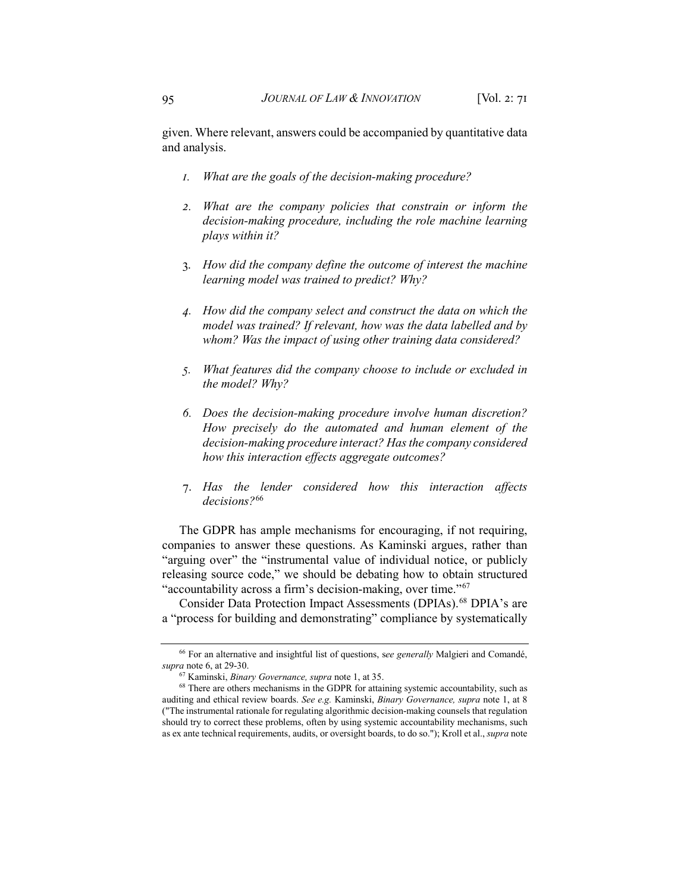given. Where relevant, answers could be accompanied by quantitative data and analysis.

- *1. What are the goals of the decision-making procedure?*
- *2. What are the company policies that constrain or inform the decision-making procedure, including the role machine learning plays within it?*
- 3. *How did the company define the outcome of interest the machine learning model was trained to predict? Why?*
- *4. How did the company select and construct the data on which the model was trained? If relevant, how was the data labelled and by whom? Was the impact of using other training data considered?*
- *5. What features did the company choose to include or excluded in the model? Why?*
- *6. Does the decision-making procedure involve human discretion? How precisely do the automated and human element of the decision-making procedure interact? Has the company considered how this interaction effects aggregate outcomes?*
- 7. *Has the lender considered how this interaction affects decisions?*[66](#page-25-0)

The GDPR has ample mechanisms for encouraging, if not requiring, companies to answer these questions. As Kaminski argues, rather than "arguing over" the "instrumental value of individual notice, or publicly releasing source code," we should be debating how to obtain structured "accountability across a firm's decision-making, over time."<sup>[67](#page-25-1)</sup>

Consider Data Protection Impact Assessments (DPIAs).<sup>[68](#page-25-2)</sup> DPIA's are a "process for building and demonstrating" compliance by systematically

<span id="page-25-0"></span><sup>66</sup> For an alternative and insightful list of questions, s*ee generally* Malgieri and Comandé, *supra* note 6, at 29-30. 67 Kaminski, *Binary Governance, supra* note 1, at 35.

<span id="page-25-2"></span><span id="page-25-1"></span><sup>&</sup>lt;sup>68</sup> There are others mechanisms in the GDPR for attaining systemic accountability, such as auditing and ethical review boards. *See e.g.* Kaminski, *Binary Governance, supra* note 1, at 8 ("The instrumental rationale for regulating algorithmic decision-making counsels that regulation should try to correct these problems, often by using systemic accountability mechanisms, such as ex ante technical requirements, audits, or oversight boards, to do so."); Kroll et al., *supra* note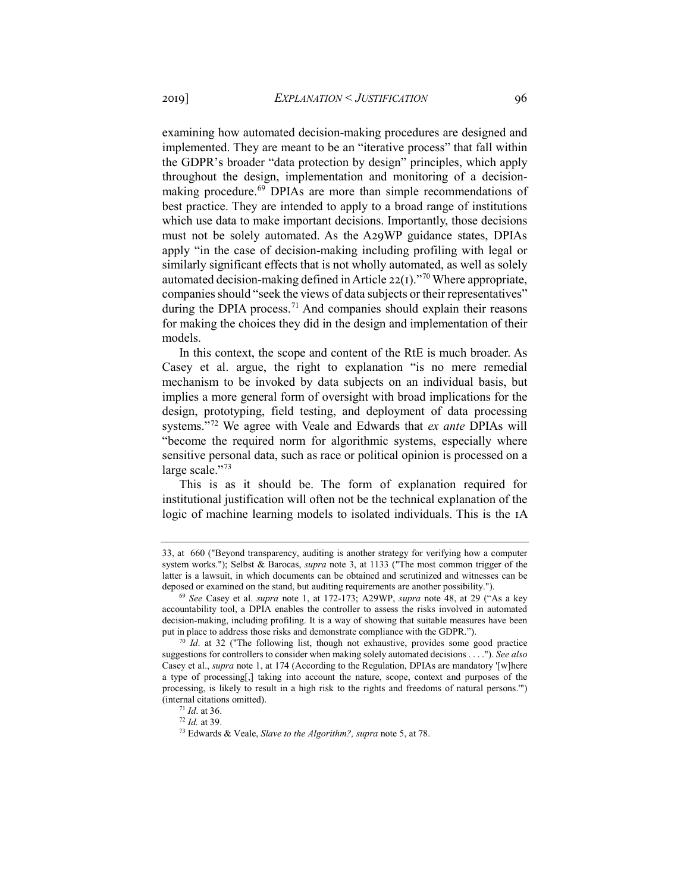examining how automated decision-making procedures are designed and implemented. They are meant to be an "iterative process" that fall within the GDPR's broader "data protection by design" principles, which apply throughout the design, implementation and monitoring of a decision-making procedure.<sup>[69](#page-26-0)</sup> DPIAs are more than simple recommendations of best practice. They are intended to apply to a broad range of institutions which use data to make important decisions. Importantly, those decisions must not be solely automated. As the A29WP guidance states, DPIAs apply "in the case of decision-making including profiling with legal or similarly significant effects that is not wholly automated, as well as solely automated decision-making defined in Article 22(1)."[70](#page-26-1) Where appropriate, companies should "seek the views of data subjects or their representatives" during the DPIA process.<sup>[71](#page-26-2)</sup> And companies should explain their reasons for making the choices they did in the design and implementation of their models.

In this context, the scope and content of the RtE is much broader. As Casey et al. argue, the right to explanation "is no mere remedial mechanism to be invoked by data subjects on an individual basis, but implies a more general form of oversight with broad implications for the design, prototyping, field testing, and deployment of data processing systems."[72](#page-26-3) We agree with Veale and Edwards that *ex ante* DPIAs will "become the required norm for algorithmic systems, especially where sensitive personal data, such as race or political opinion is processed on a large scale."[73](#page-26-4)

This is as it should be. The form of explanation required for institutional justification will often not be the technical explanation of the logic of machine learning models to isolated individuals. This is the 1A

<sup>33,</sup> at 660 ("Beyond transparency, auditing is another strategy for verifying how a computer system works."); Selbst & Barocas, *supra* note 3, at 1133 ("The most common trigger of the latter is a lawsuit, in which documents can be obtained and scrutinized and witnesses can be deposed or examined on the stand, but auditing requirements are another possibility.").

<span id="page-26-0"></span><sup>69</sup> *See* Casey et al. *supra* note 1, at 172-173; A29WP, *supra* note 48, at 29 ("As a key accountability tool, a DPIA enables the controller to assess the risks involved in automated decision-making, including profiling. It is a way of showing that suitable measures have been put in place to address those risks and demonstrate compliance with the GDPR.").

<span id="page-26-2"></span><span id="page-26-1"></span><sup>70</sup> *Id*. at 32 ("The following list, though not exhaustive, provides some good practice suggestions for controllers to consider when making solely automated decisions . . . ."). *See also* Casey et al., *supra* note 1, at 174 (According to the Regulation, DPIAs are mandatory '[w]here a type of processing[,] taking into account the nature, scope, context and purposes of the processing, is likely to result in a high risk to the rights and freedoms of natural persons.'") (internal citations omitted).<br> $\frac{71 \text{ Id. at 36}}{11 \text{ d. at 36}}$ .

<span id="page-26-4"></span><span id="page-26-3"></span><sup>71</sup> *Id*. at 36. 72 *Id.* at 39.

<sup>73</sup> Edwards & Veale, *Slave to the Algorithm?, supra* note 5, at 78.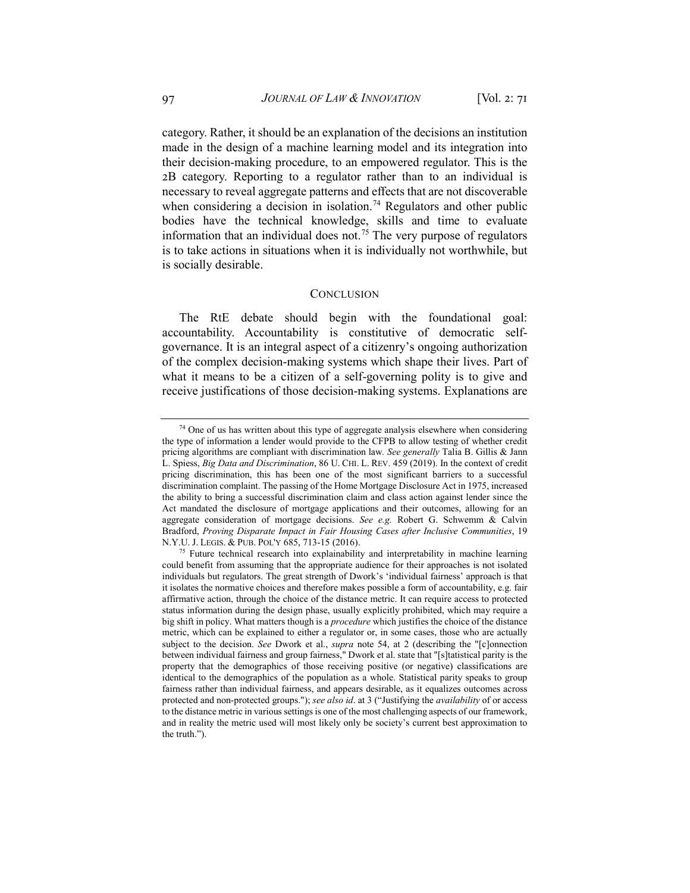category. Rather, it should be an explanation of the decisions an institution made in the design of a machine learning model and its integration into their decision-making procedure, to an empowered regulator. This is the 2B category. Reporting to a regulator rather than to an individual is necessary to reveal aggregate patterns and effects that are not discoverable when considering a decision in isolation.<sup>[74](#page-27-0)</sup> Regulators and other public bodies have the technical knowledge, skills and time to evaluate information that an individual does not. [75](#page-27-1) The very purpose of regulators is to take actions in situations when it is individually not worthwhile, but is socially desirable.

#### **CONCLUSION**

The RtE debate should begin with the foundational goal: accountability. Accountability is constitutive of democratic selfgovernance. It is an integral aspect of a citizenry's ongoing authorization of the complex decision-making systems which shape their lives. Part of what it means to be a citizen of a self-governing polity is to give and receive justifications of those decision-making systems. Explanations are

<span id="page-27-0"></span> $74$  One of us has written about this type of aggregate analysis elsewhere when considering the type of information a lender would provide to the CFPB to allow testing of whether credit pricing algorithms are compliant with discrimination law*. See generally* Talia B. Gillis & Jann L. Spiess, *Big Data and Discrimination*, 86 U. CHI. L. REV. 459 (2019). In the context of credit pricing discrimination, this has been one of the most significant barriers to a successful discrimination complaint. The passing of the Home Mortgage Disclosure Act in 1975, increased the ability to bring a successful discrimination claim and class action against lender since the Act mandated the disclosure of mortgage applications and their outcomes, allowing for an aggregate consideration of mortgage decisions. *See e.g.* Robert G. Schwemm & Calvin Bradford, *Proving Disparate Impact in Fair Housing Cases after Inclusive Communities*, 19 N.Y.U. J. LEGIS. & PUB. POL'Y 685, 713-15 (2016).

<span id="page-27-1"></span> $75$  Future technical research into explainability and interpretability in machine learning could benefit from assuming that the appropriate audience for their approaches is not isolated individuals but regulators. The great strength of Dwork's 'individual fairness' approach is that it isolates the normative choices and therefore makes possible a form of accountability, e.g. fair affirmative action, through the choice of the distance metric. It can require access to protected status information during the design phase, usually explicitly prohibited, which may require a big shift in policy. What matters though is a *procedure* which justifies the choice of the distance metric, which can be explained to either a regulator or, in some cases, those who are actually subject to the decision. *See* Dwork et al., *supra* note 54, at 2 (describing the "[c]onnection between individual fairness and group fairness," Dwork et al. state that "[s]tatistical parity is the property that the demographics of those receiving positive (or negative) classifications are identical to the demographics of the population as a whole. Statistical parity speaks to group fairness rather than individual fairness, and appears desirable, as it equalizes outcomes across protected and non-protected groups."); *see also id*. at 3 ("Justifying the *availability* of or access to the distance metric in various settings is one of the most challenging aspects of our framework, and in reality the metric used will most likely only be society's current best approximation to the truth.").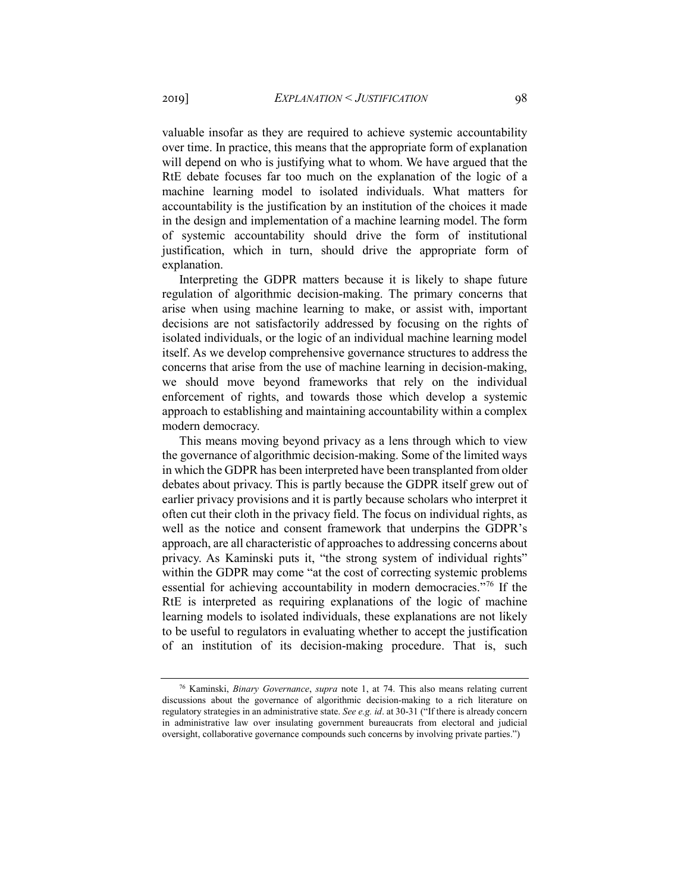valuable insofar as they are required to achieve systemic accountability over time. In practice, this means that the appropriate form of explanation will depend on who is justifying what to whom. We have argued that the RtE debate focuses far too much on the explanation of the logic of a machine learning model to isolated individuals. What matters for accountability is the justification by an institution of the choices it made in the design and implementation of a machine learning model. The form of systemic accountability should drive the form of institutional justification, which in turn, should drive the appropriate form of explanation.

Interpreting the GDPR matters because it is likely to shape future regulation of algorithmic decision-making. The primary concerns that arise when using machine learning to make, or assist with, important decisions are not satisfactorily addressed by focusing on the rights of isolated individuals, or the logic of an individual machine learning model itself. As we develop comprehensive governance structures to address the concerns that arise from the use of machine learning in decision-making, we should move beyond frameworks that rely on the individual enforcement of rights, and towards those which develop a systemic approach to establishing and maintaining accountability within a complex modern democracy.

This means moving beyond privacy as a lens through which to view the governance of algorithmic decision-making. Some of the limited ways in which the GDPR has been interpreted have been transplanted from older debates about privacy. This is partly because the GDPR itself grew out of earlier privacy provisions and it is partly because scholars who interpret it often cut their cloth in the privacy field. The focus on individual rights, as well as the notice and consent framework that underpins the GDPR's approach, are all characteristic of approaches to addressing concerns about privacy. As Kaminski puts it, "the strong system of individual rights" within the GDPR may come "at the cost of correcting systemic problems essential for achieving accountability in modern democracies.["76](#page-28-0) If the RtE is interpreted as requiring explanations of the logic of machine learning models to isolated individuals, these explanations are not likely to be useful to regulators in evaluating whether to accept the justification of an institution of its decision-making procedure. That is, such

<span id="page-28-0"></span><sup>76</sup> Kaminski, *Binary Governance*, *supra* note 1, at 74. This also means relating current discussions about the governance of algorithmic decision-making to a rich literature on regulatory strategies in an administrative state. *See e.g. id*. at 30-31 ("If there is already concern in administrative law over insulating government bureaucrats from electoral and judicial oversight, collaborative governance compounds such concerns by involving private parties.")